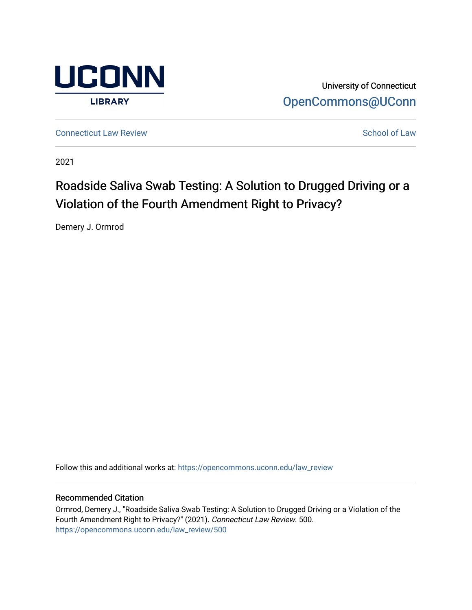

University of Connecticut [OpenCommons@UConn](https://opencommons.uconn.edu/) 

**[Connecticut Law Review](https://opencommons.uconn.edu/law_review) [School of Law](https://opencommons.uconn.edu/sol) Review School of Law School of Law School of Law School of Law School of Law School of Law School of Law School of Law School of Law School of Law School of Law School of Law School of** 

2021

# Roadside Saliva Swab Testing: A Solution to Drugged Driving or a Violation of the Fourth Amendment Right to Privacy?

Demery J. Ormrod

Follow this and additional works at: [https://opencommons.uconn.edu/law\\_review](https://opencommons.uconn.edu/law_review?utm_source=opencommons.uconn.edu%2Flaw_review%2F500&utm_medium=PDF&utm_campaign=PDFCoverPages)

# Recommended Citation

Ormrod, Demery J., "Roadside Saliva Swab Testing: A Solution to Drugged Driving or a Violation of the Fourth Amendment Right to Privacy?" (2021). Connecticut Law Review. 500. [https://opencommons.uconn.edu/law\\_review/500](https://opencommons.uconn.edu/law_review/500?utm_source=opencommons.uconn.edu%2Flaw_review%2F500&utm_medium=PDF&utm_campaign=PDFCoverPages)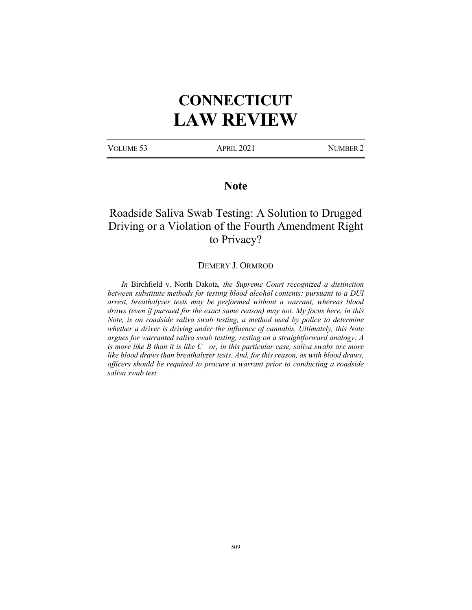# **CONNECTICUT LAW REVIEW**

VOLUME 53 APRIL 2021 NUMBER 2

# **Note**

# Roadside Saliva Swab Testing: A Solution to Drugged Driving or a Violation of the Fourth Amendment Right to Privacy?

# DEMERY J. ORMROD

*In* Birchfield v. North Dakota*, the Supreme Court recognized a distinction between substitute methods for testing blood alcohol contents: pursuant to a DUI arrest, breathalyzer tests may be performed without a warrant, whereas blood draws (even if pursued for the exact same reason) may not. My focus here, in this Note, is on roadside saliva swab testing, a method used by police to determine whether a driver is driving under the influence of cannabis. Ultimately, this Note argues for warranted saliva swab testing, resting on a straightforward analogy: A is more like B than it is like C—or, in this particular case, saliva swabs are more like blood draws than breathalyzer tests. And, for this reason, as with blood draws, officers should be required to procure a warrant prior to conducting a roadside saliva swab test.*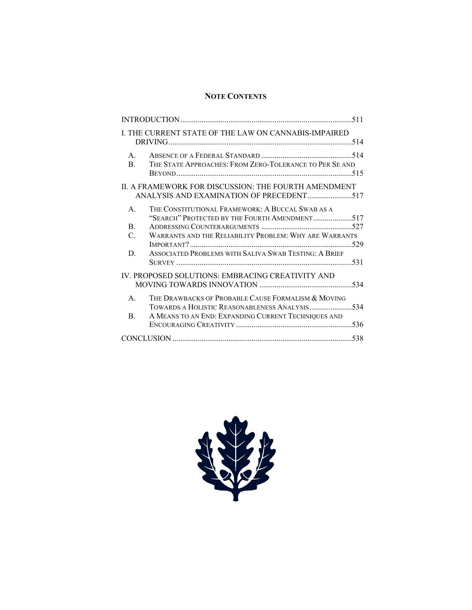# **NOTE CONTENTS**

|                                                                                                  | I. THE CURRENT STATE OF THE LAW ON CANNABIS-IMPAIRED                                                |  |
|--------------------------------------------------------------------------------------------------|-----------------------------------------------------------------------------------------------------|--|
| $\mathsf{A}$ .<br>$\mathbf{B}$                                                                   | THE STATE APPROACHES: FROM ZERO-TOLERANCE TO PER SE AND                                             |  |
| II. A FRAMEWORK FOR DISCUSSION: THE FOURTH AMENDMENT<br>ANALYSIS AND EXAMINATION OF PRECEDENT517 |                                                                                                     |  |
| A.<br>$\mathbf{B}$ .                                                                             | THE CONSTITUTIONAL FRAMEWORK: A BUCCAL SWAB AS A<br>"SEARCH" PROTECTED BY THE FOURTH AMENDMENT517   |  |
| $\mathcal{C}$ .                                                                                  | WARRANTS AND THE RELIABILITY PROBLEM: WHY ARE WARRANTS                                              |  |
| D.                                                                                               | ASSOCIATED PROBLEMS WITH SALIVA SWAR TESTING: A BRIEF                                               |  |
| IV. PROPOSED SOLUTIONS: EMBRACING CREATIVITY AND                                                 |                                                                                                     |  |
| $\mathsf{A}$ .                                                                                   | THE DRAWBACKS OF PROBABLE CAUSE FORMALISM & MOVING<br>TOWARDS A HOLISTIC REASONABLENESS ANALYSIS534 |  |
| B <sub>1</sub>                                                                                   | A MEANS TO AN END: EXPANDING CURRENT TECHNIQUES AND                                                 |  |
|                                                                                                  |                                                                                                     |  |

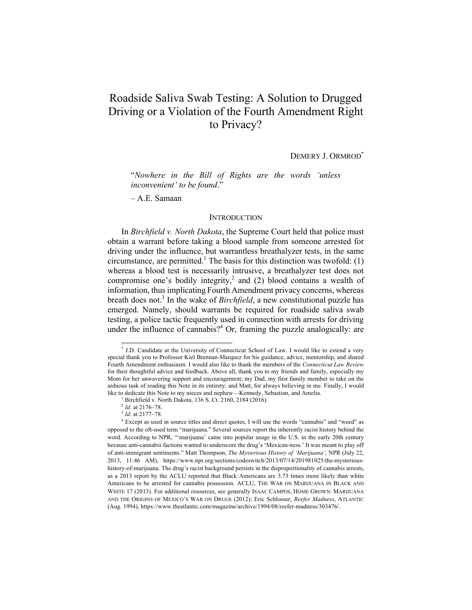# Roadside Saliva Swab Testing: A Solution to Drugged Driving or a Violation of the Fourth Amendment Right to Privacy?

DEMERY J. ORMROD<sup>\*</sup>

"*Nowhere in the Bill of Rights are the words 'unless inconvenient' to be found*."

– A.E. Samaan

#### **INTRODUCTION**

In *Birchfield v. North Dakota*, the Supreme Court held that police must obtain a warrant before taking a blood sample from someone arrested for driving under the influence, but warrantless breathalyzer tests, in the same circumstance, are permitted.<sup>1</sup> The basis for this distinction was twofold:  $(1)$ whereas a blood test is necessarily intrusive, a breathalyzer test does not compromise one's bodily integrity,<sup>2</sup> and (2) blood contains a wealth of information, thus implicating Fourth Amendment privacy concerns, whereas breath does not.<sup>3</sup> In the wake of *Birchfield*, a new constitutional puzzle has emerged. Namely, should warrants be required for roadside saliva swab testing, a police tactic frequently used in connection with arrests for driving under the influence of cannabis? $4$  Or, framing the puzzle analogically: are

<sup>\*</sup> J.D. Candidate at the University of Connecticut School of Law. I would like to extend a very special thank you to Professor Kiel Brennan-Marquez for his guidance, advice, mentorship, and shared Fourth Amendment enthusiasm. I would also like to thank the members of the *Connecticut Law Review*  for their thoughtful advice and feedback. Above all, thank you to my friends and family, especially my Mom for her unwavering support and encouragement; my Dad, my first family member to take on the arduous task of reading this Note in its entirety; and Matt, for always believing in me. Finally, I would like to dedicate this Note to my nieces and nephew—Kennedy, Sebastian, and Amelia.<br><sup>1</sup> Birchfield v. North Dakota, 136 S. Ct. 2160, 2184 (2016).

<sup>2</sup> *Id.* at 2176–78.

<sup>3</sup> *Id.* at 2177–78.

<sup>4</sup> Except as used in source titles and direct quotes, I will use the words "cannabis" and "weed" as opposed to the oft-used term "marijuana." Several sources report the inherently racist history behind the word. According to NPR, "'marijuana' came into popular usage in the U.S. in the early 20th century because anti-cannabis factions wanted to underscore the drug's 'Mexican-ness.' It was meant to play off of anti-immigrant sentiments." Matt Thompson, *The Mysterious History of 'Marijuana'*, NPR (July 22, 2013, 11:46 AM), https://www.npr.org/sections/codeswitch/2013/07/14/201981025/the-mysterioushistory-of-marijuana. The drug's racist background persists in the disproportionality of cannabis arrests, as a 2013 report by the ACLU reported that Black Americans are 3.73 times more likely than white Americans to be arrested for cannabis possession. ACLU, THE WAR ON MARIJUANA IN BLACK AND WHITE 17 (2013). For additional resources, see generally ISAAC CAMPOS, HOME GROWN: MARIJUANA AND THE ORIGINS OF MEXICO'S WAR ON DRUGS (2012); Eric Schlosser, *Reefer Madness*, ATLANTIC (Aug. 1994), https://www.theatlantic.com/magazine/archive/1994/08/reefer-madness/303476/.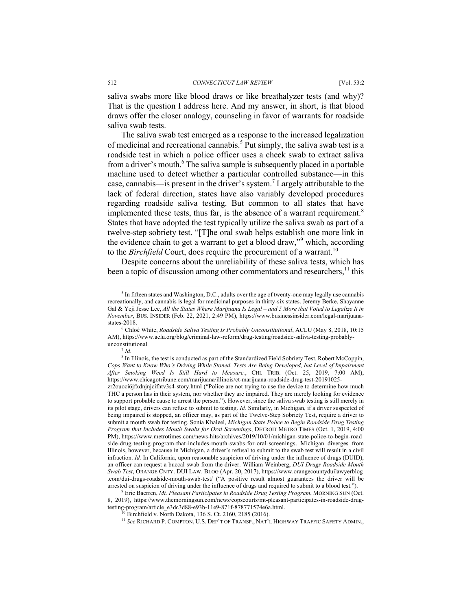saliva swabs more like blood draws or like breathalyzer tests (and why)? That is the question I address here. And my answer, in short, is that blood draws offer the closer analogy, counseling in favor of warrants for roadside saliva swab tests.

The saliva swab test emerged as a response to the increased legalization of medicinal and recreational cannabis.<sup>5</sup> Put simply, the saliva swab test is a roadside test in which a police officer uses a cheek swab to extract saliva from a driver's mouth.<sup>6</sup> The saliva sample is subsequently placed in a portable machine used to detect whether a particular controlled substance—in this case, cannabis—is present in the driver's system.<sup>7</sup> Largely attributable to the lack of federal direction, states have also variably developed procedures regarding roadside saliva testing. But common to all states that have implemented these tests, thus far, is the absence of a warrant requirement.<sup>8</sup> States that have adopted the test typically utilize the saliva swab as part of a twelve-step sobriety test. "[T]he oral swab helps establish one more link in the evidence chain to get a warrant to get a blood draw,"<sup>9</sup> which, according to the *Birchfield* Court, does require the procurement of a warrant.<sup>10</sup>

Despite concerns about the unreliability of these saliva tests, which has been a topic of discussion among other commentators and researchers, $^{11}$  this

<sup>7</sup> *Id.*

<sup>5</sup> In fifteen states and Washington, D.C., adults over the age of twenty-one may legally use cannabis recreationally, and cannabis is legal for medicinal purposes in thirty-six states. Jeremy Berke, Shayanne Gal & Yeji Jesse Lee, *All the States Where Marijuana Is Legal – and 5 More that Voted to Legalize It in November*, BUS. INSIDER (Feb. 22, 2021, 2:49 PM), https://www.businessinsider.com/legal-marijuanastates-2018.

<sup>6</sup> Chloé White, *Roadside Saliva Testing Is Probably Unconstitutional*, ACLU (May 8, 2018, 10:15 AM), https://www.aclu.org/blog/criminal-law-reform/drug-testing/roadside-saliva-testing-probablyunconstitutional.

<sup>8</sup> In Illinois, the test is conducted as part of the Standardized Field Sobriety Test. Robert McCoppin, *Cops Want to Know Who's Driving While Stoned. Tests Are Being Developed, but Level of Impairment After Smoking Weed Is Still Hard to Measure.*, CHI. TRIB. (Oct. 25, 2019, 7:00 AM), https://www.chicagotribune.com/marijuana/illinois/ct-marijuana-roadside-drug-test-20191025-

zr2ouoci6jfxdnjnjcifhtv3s4-story.html ("Police are not trying to use the device to determine how much THC a person has in their system, nor whether they are impaired. They are merely looking for evidence to support probable cause to arrest the person."). However, since the saliva swab testing is still merely in its pilot stage, drivers can refuse to submit to testing. *Id.* Similarly, in Michigan, if a driver suspected of being impaired is stopped, an officer may, as part of the Twelve-Step Sobriety Test, require a driver to submit a mouth swab for testing. Sonia Khaleel, *Michigan State Police to Begin Roadside Drug Testing Program that Includes Mouth Swabs for Oral Screenings*, DETROIT METRO TIMES (Oct. 1, 2019, 4:00 PM), https://www.metrotimes.com/news-hits/archives/2019/10/01/michigan-state-police-to-begin-road side-drug-testing-program-that-includes-mouth-swabs-for-oral-screenings. Michigan diverges from Illinois, however, because in Michigan, a driver's refusal to submit to the swab test will result in a civil infraction. *Id.* In California, upon reasonable suspicion of driving under the influence of drugs (DUID), an officer can request a buccal swab from the driver. William Weinberg, *DUI Drugs Roadside Mouth Swab Test*, ORANGE CNTY. DUI LAW. BLOG (Apr. 20, 2017), https://www.orangecountyduilawyerblog .com/dui-drugs-roadside-mouth-swab-test/ ("A positive result almost guarantees the driver will be arrested on suspicion of driving under the influence of drugs and required to submit to a blood test."). 9 Eric Baerren, *Mt. Pleasant Participates in Roadside Drug Testing Program*, MORNING SUN (Oct.

<sup>8, 2019),</sup> https://www.themorningsun.com/news/copscourts/mt-pleasant-participates-in-roadside-drugtesting-program/article\_e3dc3d88-e93b-11e9-871f-878771574e6a.html.

 $^{10}$  Birchfield v. North Dakota, 136 S. Ct. 2160, 2185 (2016).

<sup>11</sup> *See* RICHARD P. COMPTON, U.S. DEP'T OF TRANSP., NAT'L HIGHWAY TRAFFIC SAFETY ADMIN.,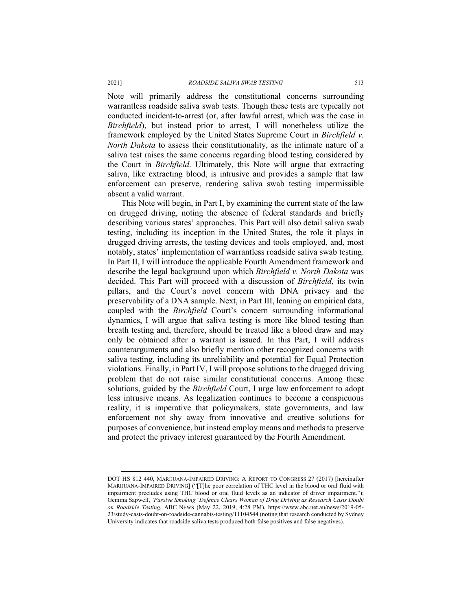Note will primarily address the constitutional concerns surrounding warrantless roadside saliva swab tests. Though these tests are typically not conducted incident-to-arrest (or, after lawful arrest, which was the case in *Birchfield*), but instead prior to arrest, I will nonetheless utilize the framework employed by the United States Supreme Court in *Birchfield v. North Dakota* to assess their constitutionality, as the intimate nature of a saliva test raises the same concerns regarding blood testing considered by the Court in *Birchfield*. Ultimately, this Note will argue that extracting saliva, like extracting blood, is intrusive and provides a sample that law enforcement can preserve, rendering saliva swab testing impermissible absent a valid warrant.

This Note will begin, in Part I, by examining the current state of the law on drugged driving, noting the absence of federal standards and briefly describing various states' approaches. This Part will also detail saliva swab testing, including its inception in the United States, the role it plays in drugged driving arrests, the testing devices and tools employed, and, most notably, states' implementation of warrantless roadside saliva swab testing. In Part II, I will introduce the applicable Fourth Amendment framework and describe the legal background upon which *Birchfield v. North Dakota* was decided. This Part will proceed with a discussion of *Birchfield*, its twin pillars, and the Court's novel concern with DNA privacy and the preservability of a DNA sample. Next, in Part III, leaning on empirical data, coupled with the *Birchfield* Court's concern surrounding informational dynamics, I will argue that saliva testing is more like blood testing than breath testing and, therefore, should be treated like a blood draw and may only be obtained after a warrant is issued. In this Part, I will address counterarguments and also briefly mention other recognized concerns with saliva testing, including its unreliability and potential for Equal Protection violations. Finally, in Part IV, I will propose solutions to the drugged driving problem that do not raise similar constitutional concerns. Among these solutions, guided by the *Birchfield* Court, I urge law enforcement to adopt less intrusive means. As legalization continues to become a conspicuous reality, it is imperative that policymakers, state governments, and law enforcement not shy away from innovative and creative solutions for purposes of convenience, but instead employ means and methods to preserve and protect the privacy interest guaranteed by the Fourth Amendment.

DOT HS 812 440, MARIJUANA-IMPAIRED DRIVING: A REPORT TO CONGRESS 27 (2017) [hereinafter MARIJUANA-IMPAIRED DRIVING] ("[T]he poor correlation of THC level in the blood or oral fluid with impairment precludes using THC blood or oral fluid levels as an indicator of driver impairment."); Gemma Sapwell, *'Passive Smoking' Defence Clears Woman of Drug Driving as Research Casts Doubt on Roadside Testing*, ABC NEWS (May 22, 2019, 4:28 PM), https://www.abc.net.au/news/2019-05- 23/study-casts-doubt-on-roadside-cannabis-testing/11104544 (noting that research conducted by Sydney University indicates that roadside saliva tests produced both false positives and false negatives).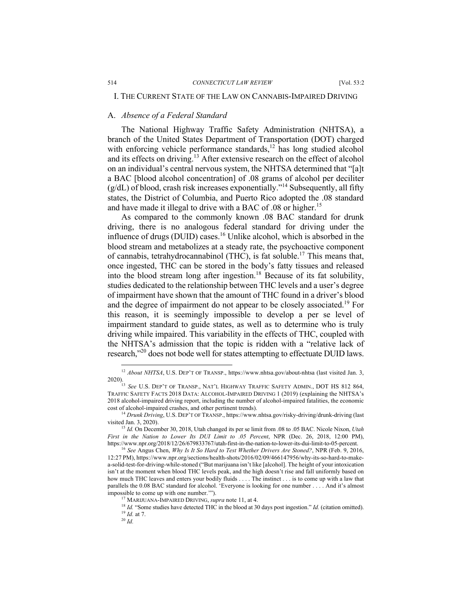# I. THE CURRENT STATE OF THE LAW ON CANNABIS-IMPAIRED DRIVING

## A. *Absence of a Federal Standard*

The National Highway Traffic Safety Administration (NHTSA), a branch of the United States Department of Transportation (DOT) charged with enforcing vehicle performance standards, $^{12}$  has long studied alcohol and its effects on driving.<sup>13</sup> After extensive research on the effect of alcohol on an individual's central nervous system, the NHTSA determined that "[a]t a BAC [blood alcohol concentration] of .08 grams of alcohol per deciliter  $(g/dL)$  of blood, crash risk increases exponentially."<sup>14</sup> Subsequently, all fifty states, the District of Columbia, and Puerto Rico adopted the .08 standard and have made it illegal to drive with a BAC of .08 or higher.<sup>15</sup>

As compared to the commonly known .08 BAC standard for drunk driving, there is no analogous federal standard for driving under the influence of drugs (DUID) cases.<sup>16</sup> Unlike alcohol, which is absorbed in the blood stream and metabolizes at a steady rate, the psychoactive component of cannabis, tetrahydrocannabinol (THC), is fat soluble.17 This means that, once ingested, THC can be stored in the body's fatty tissues and released into the blood stream long after ingestion.18 Because of its fat solubility, studies dedicated to the relationship between THC levels and a user's degree of impairment have shown that the amount of THC found in a driver's blood and the degree of impairment do not appear to be closely associated.<sup>19</sup> For this reason, it is seemingly impossible to develop a per se level of impairment standard to guide states, as well as to determine who is truly driving while impaired. This variability in the effects of THC, coupled with the NHTSA's admission that the topic is ridden with a "relative lack of research,"20 does not bode well for states attempting to effectuate DUID laws.

<sup>&</sup>lt;sup>12</sup> *About NHTSA*, U.S. DEP'T OF TRANSP., https://www.nhtsa.gov/about-nhtsa (last visited Jan. 3, 2020).

<sup>13</sup> *See* U.S. DEP'T OF TRANSP., NAT'L HIGHWAY TRAFFIC SAFETY ADMIN., DOT HS 812 864, TRAFFIC SAFETY FACTS 2018 DATA: ALCOHOL-IMPAIRED DRIVING 1 (2019) (explaining the NHTSA's 2018 alcohol-impaired driving report, including the number of alcohol-impaired fatalities, the economic cost of alcohol-impaired crashes, and other pertinent trends). 14 *Drunk Driving*, U.S. DEP'T OF TRANSP., https://www.nhtsa.gov/risky-driving/drunk-driving (last

visited Jan. 3, 2020).

<sup>15</sup> *Id.* On December 30, 2018, Utah changed its per se limit from .08 to .05 BAC. Nicole Nixon, *Utah First in the Nation to Lower Its DUI Limit to .05 Percent*, NPR (Dec. 26, 2018, 12:00 PM), https://www.npr.org/2018/12/26/679833767/utah-first-in-the-nation-to-lower-its-dui-limit-to-05-percent.

<sup>16</sup> *See* Angus Chen, *Why Is It So Hard to Test Whether Drivers Are Stoned?*, NPR (Feb. 9, 2016, 12:27 PM), https://www.npr.org/sections/health-shots/2016/02/09/466147956/why-its-so-hard-to-makea-solid-test-for-driving-while-stoned ("But marijuana isn't like [alcohol]. The height of your intoxication isn't at the moment when blood THC levels peak, and the high doesn't rise and fall uniformly based on how much THC leaves and enters your bodily fluids . . . . The instinct . . . is to come up with a law that parallels the 0.08 BAC standard for alcohol. 'Everyone is looking for one number . . . . And it's almost impossible to come up with one number."").<br><sup>17</sup> MARIJUANA-IMPAIRED DRIVING, *supra* note 11, at 4.

<sup>&</sup>lt;sup>18</sup> Id. "Some studies have detected THC in the blood at 30 days post ingestion." *Id.* (citation omitted). <sup>19</sup> *Id.* at 7.

<sup>20</sup> *Id.*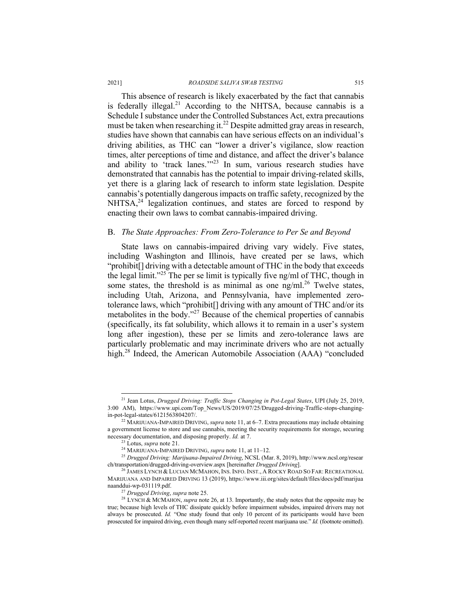#### 2021] *ROADSIDE SALIVA SWAB TESTING* 515

This absence of research is likely exacerbated by the fact that cannabis is federally illegal.<sup>21</sup> According to the NHTSA, because cannabis is a Schedule I substance under the Controlled Substances Act, extra precautions must be taken when researching it.<sup>22</sup> Despite admitted gray areas in research, studies have shown that cannabis can have serious effects on an individual's driving abilities, as THC can "lower a driver's vigilance, slow reaction times, alter perceptions of time and distance, and affect the driver's balance and ability to 'track lanes.'"<sup>23</sup> In sum, various research studies have demonstrated that cannabis has the potential to impair driving-related skills, yet there is a glaring lack of research to inform state legislation. Despite cannabis's potentially dangerous impacts on traffic safety, recognized by the NHTSA,<sup>24</sup> legalization continues, and states are forced to respond by enacting their own laws to combat cannabis-impaired driving.

## B. *The State Approaches: From Zero-Tolerance to Per Se and Beyond*

State laws on cannabis-impaired driving vary widely. Five states, including Washington and Illinois, have created per se laws, which "prohibit[] driving with a detectable amount of THC in the body that exceeds the legal limit."<sup>25</sup> The per se limit is typically five ng/ml of THC, though in some states, the threshold is as minimal as one  $\text{ng/ml}^{26}$  Twelve states, including Utah, Arizona, and Pennsylvania, have implemented zerotolerance laws, which "prohibit[] driving with any amount of THC and/or its metabolites in the body."<sup>27</sup> Because of the chemical properties of cannabis (specifically, its fat solubility, which allows it to remain in a user's system long after ingestion), these per se limits and zero-tolerance laws are particularly problematic and may incriminate drivers who are not actually high.28 Indeed, the American Automobile Association (AAA) "concluded

<sup>21</sup> Jean Lotus, *Drugged Driving: Traffic Stops Changing in Pot-Legal States*, UPI (July 25, 2019, 3:00 AM), https://www.upi.com/Top\_News/US/2019/07/25/Drugged-driving-Traffic-stops-changing-

<sup>&</sup>lt;sup>22</sup> MARIJUANA-IMPAIRED DRIVING, *supra* note 11, at 6–7. Extra precautions may include obtaining a government license to store and use cannabis, meeting the security requirements for storage, securing necessary documentation, and disposing properly. *Id.* at 7.<br><sup>23</sup> Lotus, *supra* note 21.

<sup>&</sup>lt;sup>24</sup> MARIJUANA-IMPAIRED DRIVING, *supra* note 11, at 11–12.

<sup>25</sup> *Drugged Driving: Marijuana-Impaired Driving*, NCSL (Mar. 8, 2019), http://www.ncsl.org/resear ch/transportation/drugged-driving-overview.aspx [hereinafter *Drugged Driving*].

<sup>26</sup> JAMES LYNCH & LUCIAN MCMAHON, INS. INFO. INST., A ROCKY ROAD SO FAR: RECREATIONAL MARIJUANA AND IMPAIRED DRIVING 13 (2019), https://www.iii.org/sites/default/files/docs/pdf/marijua naanddui-wp-031119.pdf.

<sup>27</sup> *Drugged Driving*, *supra* note 25.

<sup>&</sup>lt;sup>28</sup> LYNCH & MCMAHON, *supra* note 26, at 13. Importantly, the study notes that the opposite may be true; because high levels of THC dissipate quickly before impairment subsides, impaired drivers may not always be prosecuted. *Id.* "One study found that only 10 percent of its participants would have been prosecuted for impaired driving, even though many self-reported recent marijuana use." *Id.* (footnote omitted).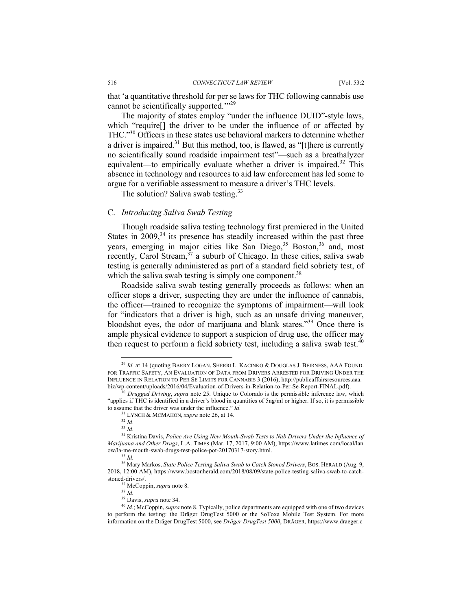that 'a quantitative threshold for per se laws for THC following cannabis use cannot be scientifically supported."<sup>29</sup>

The majority of states employ "under the influence DUID"-style laws, which "require[] the driver to be under the influence of or affected by THC."30 Officers in these states use behavioral markers to determine whether a driver is impaired.<sup>31</sup> But this method, too, is flawed, as "[t]here is currently no scientifically sound roadside impairment test"—such as a breathalyzer equivalent—to empirically evaluate whether a driver is impaired.<sup>32</sup> This absence in technology and resources to aid law enforcement has led some to argue for a verifiable assessment to measure a driver's THC levels.

The solution? Saliva swab testing.<sup>33</sup>

# C. *Introducing Saliva Swab Testing*

Though roadside saliva testing technology first premiered in the United States in  $2009$ ,<sup>34</sup> its presence has steadily increased within the past three years, emerging in major cities like San Diego,<sup>35</sup> Boston,<sup>36</sup> and, most recently, Carol Stream, $37$  a suburb of Chicago. In these cities, saliva swab testing is generally administered as part of a standard field sobriety test, of which the saliva swab testing is simply one component.<sup>38</sup>

Roadside saliva swab testing generally proceeds as follows: when an officer stops a driver, suspecting they are under the influence of cannabis, the officer—trained to recognize the symptoms of impairment—will look for "indicators that a driver is high, such as an unsafe driving maneuver, bloodshot eyes, the odor of marijuana and blank stares."39 Once there is ample physical evidence to support a suspicion of drug use, the officer may then request to perform a field sobriety test, including a saliva swab test. $40$ 

<sup>&</sup>lt;sup>29</sup> Id. at 14 (quoting BARRY LOGAN, SHERRI L. KACINKO & DOUGLAS J. BEIRNESS, AAA FOUND. FOR TRAFFIC SAFETY, AN EVALUATION OF DATA FROM DRIVERS ARRESTED FOR DRIVING UNDER THE INFLUENCE IN RELATION TO PER SE LIMITS FOR CANNABIS 3 (2016), http://publicaffairsresources.aaa. biz/wp-content/uploads/2016/04/Evaluation-of-Drivers-in-Relation-to-Per-Se-Report-FINAL.pdf). 30 *Drugged Driving*, *supra* note 25. Unique to Colorado is the permissible inference law, which

<sup>&</sup>quot;applies if THC is identified in a driver's blood in quantities of 5ng/ml or higher. If so, it is permissible to assume that the driver was under the influence." *Id.* 

<sup>31</sup> LYNCH & MCMAHON, *supra* note 26, at 14. 32 *Id.*

<sup>33</sup> *Id.*

<sup>34</sup> Kristina Davis, *Police Are Using New Mouth-Swab Tests to Nab Drivers Under the Influence of Marijuana and Other Drugs*, L.A. TIMES (Mar. 17, 2017, 9:00 AM), https://www.latimes.com/local/lan ow/la-me-mouth-swab-drugs-test-police-pot-20170317-story.html.

<sup>35</sup> *Id.*

<sup>36</sup> Mary Markos, *State Police Testing Saliva Swab to Catch Stoned Drivers*, BOS. HERALD (Aug. 9, 2018, 12:00 AM), https://www.bostonherald.com/2018/08/09/state-police-testing-saliva-swab-to-catchstoned-drivers/.

<sup>37</sup> McCoppin, *supra* note 8.

<sup>38</sup> *Id.*

<sup>39</sup> Davis, *supra* note 34.

<sup>40</sup> *Id.*; McCoppin, *supra* note 8. Typically, police departments are equipped with one of two devices to perform the testing: the Dräger DrugTest 5000 or the SoToxa Mobile Test System. For more information on the Dräger DrugTest 5000, see *Dräger DrugTest 5000*, DRÄGER, https://www.draeger.c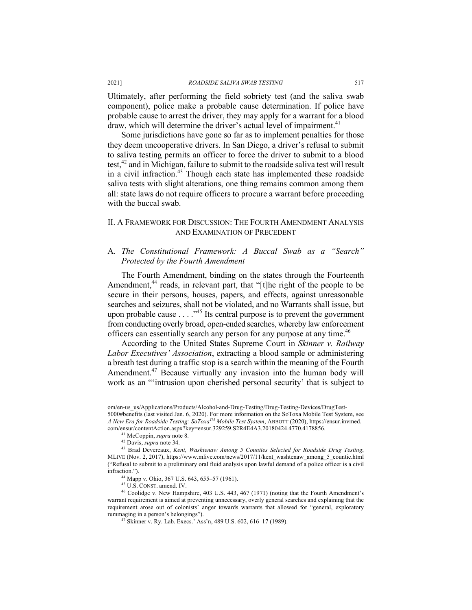#### 2021] *ROADSIDE SALIVA SWAB TESTING* 517

Ultimately, after performing the field sobriety test (and the saliva swab component), police make a probable cause determination. If police have probable cause to arrest the driver, they may apply for a warrant for a blood draw, which will determine the driver's actual level of impairment.<sup>41</sup>

Some jurisdictions have gone so far as to implement penalties for those they deem uncooperative drivers. In San Diego, a driver's refusal to submit to saliva testing permits an officer to force the driver to submit to a blood test, $42$  and in Michigan, failure to submit to the roadside saliva test will result in a civil infraction. $43$  Though each state has implemented these roadside saliva tests with slight alterations, one thing remains common among them all: state laws do not require officers to procure a warrant before proceeding with the buccal swab.

# II. A FRAMEWORK FOR DISCUSSION: THE FOURTH AMENDMENT ANALYSIS AND EXAMINATION OF PRECEDENT

# A. *The Constitutional Framework: A Buccal Swab as a "Search" Protected by the Fourth Amendment*

The Fourth Amendment, binding on the states through the Fourteenth Amendment,<sup>44</sup> reads, in relevant part, that "[t]he right of the people to be secure in their persons, houses, papers, and effects, against unreasonable searches and seizures, shall not be violated, and no Warrants shall issue, but upon probable cause  $\ldots$   $\cdot$ <sup>45</sup> Its central purpose is to prevent the government from conducting overly broad, open-ended searches, whereby law enforcement officers can essentially search any person for any purpose at any time.<sup>46</sup>

According to the United States Supreme Court in *Skinner v. Railway Labor Executives' Association*, extracting a blood sample or administering a breath test during a traffic stop is a search within the meaning of the Fourth Amendment.47 Because virtually any invasion into the human body will work as an "'intrusion upon cherished personal security' that is subject to

om/en-us\_us/Applications/Products/Alcohol-and-Drug-Testing/Drug-Testing-Devices/DrugTest-5000#benefits (last visited Jan. 6, 2020). For more information on the SoToxa Mobile Test System, see *A New Era for Roadside Testing: SoToxaTM Mobile Test System*, ABBOTT (2020), https://ensur.invmed. com/ensur/contentAction.aspx?key=ensur.329259.S2R4E4A3.20180424.4770.4178856.

<sup>41</sup> McCoppin, *supra* note 8.

<sup>42</sup> Davis, *supra* note 34.

<sup>43</sup> Brad Devereaux, *Kent, Washtenaw Among 5 Counties Selected for Roadside Drug Testing*, MLIVE (Nov. 2, 2017), https://www.mlive.com/news/2017/11/kent\_washtenaw\_among\_5\_countie.html ("Refusal to submit to a preliminary oral fluid analysis upon lawful demand of a police officer is a civil infraction.").

<sup>44</sup> Mapp v. Ohio, 367 U.S. 643, 655–57 (1961). 45 U.S. CONST. amend. IV.

<sup>46</sup> Coolidge v. New Hampshire, 403 U.S. 443, 467 (1971) (noting that the Fourth Amendment's warrant requirement is aimed at preventing unnecessary, overly general searches and explaining that the requirement arose out of colonists' anger towards warrants that allowed for "general, exploratory rummaging in a person's belongings"). 47 Skinner v. Ry. Lab. Execs.' Ass'n, 489 U.S. 602, 616–17 (1989).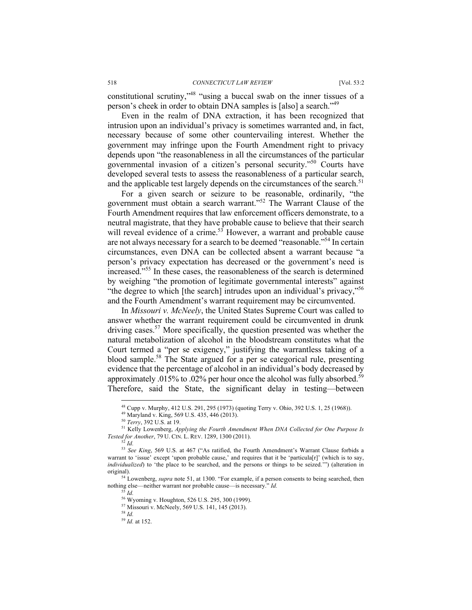constitutional scrutiny,"48 "using a buccal swab on the inner tissues of a person's cheek in order to obtain DNA samples is [also] a search."49

Even in the realm of DNA extraction, it has been recognized that intrusion upon an individual's privacy is sometimes warranted and, in fact, necessary because of some other countervailing interest. Whether the government may infringe upon the Fourth Amendment right to privacy depends upon "the reasonableness in all the circumstances of the particular governmental invasion of a citizen's personal security."50 Courts have developed several tests to assess the reasonableness of a particular search, and the applicable test largely depends on the circumstances of the search.<sup>51</sup>

For a given search or seizure to be reasonable, ordinarily, "the government must obtain a search warrant."<sup>52</sup> The Warrant Clause of the Fourth Amendment requires that law enforcement officers demonstrate, to a neutral magistrate, that they have probable cause to believe that their search will reveal evidence of a crime.<sup>53</sup> However, a warrant and probable cause are not always necessary for a search to be deemed "reasonable."54 In certain circumstances, even DNA can be collected absent a warrant because "a person's privacy expectation has decreased or the government's need is increased."<sup>55</sup> In these cases, the reasonableness of the search is determined by weighing "the promotion of legitimate governmental interests" against "the degree to which [the search] intrudes upon an individual's privacy,"<sup>56</sup> and the Fourth Amendment's warrant requirement may be circumvented.

In *Missouri v. McNeely*, the United States Supreme Court was called to answer whether the warrant requirement could be circumvented in drunk driving cases.<sup>57</sup> More specifically, the question presented was whether the natural metabolization of alcohol in the bloodstream constitutes what the Court termed a "per se exigency," justifying the warrantless taking of a blood sample.<sup>58</sup> The State argued for a per se categorical rule, presenting evidence that the percentage of alcohol in an individual's body decreased by approximately .015% to .02% per hour once the alcohol was fully absorbed.<sup>59</sup> Therefore, said the State, the significant delay in testing—between

<sup>&</sup>lt;sup>48</sup> Cupp v. Murphy, 412 U.S. 291, 295 (1973) (quoting Terry v. Ohio, 392 U.S. 1, 25 (1968)).<br><sup>49</sup> Maryland v. King, 569 U.S. 435, 446 (2013).<br><sup>50</sup> Terry, 392 U.S. at 19.

<sup>&</sup>lt;sup>51</sup> Kelly Lowenberg, *Applying the Fourth Amendment When DNA Collected for One Purpose Is Tested for Another, 79 U. CIN. L. REV. 1289, 1300 (2011).*<br>
<sup>52</sup> *Id.* 

<sup>&</sup>lt;sup>53</sup> See King, 569 U.S. at 467 ("As ratified, the Fourth Amendment's Warrant Clause forbids a warrant to 'issue' except 'upon probable cause,' and requires that it be 'particula[r]' (which is to say, *individualized*) to 'the place to be searched, and the persons or things to be seized.'") (alteration in original).

<sup>54</sup> Lowenberg, *supra* note 51, at 1300. "For example, if a person consents to being searched, then nothing else—neither warrant nor probable cause—is necessary." *Id.*

<sup>&</sup>lt;sup>55</sup> *Id.*<br><sup>56</sup> Wyoming v. Houghton, 526 U.S. 295, 300 (1999).

<sup>&</sup>lt;sup>57</sup> Missouri v. McNeely, 569 U.S. 141, 145 (2013). <sup>58</sup> *Id.* 

<sup>59</sup> *Id.* at 152.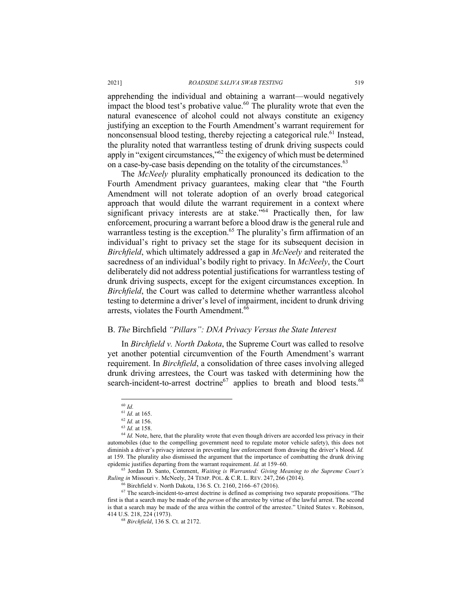apprehending the individual and obtaining a warrant—would negatively impact the blood test's probative value.<sup>60</sup> The plurality wrote that even the natural evanescence of alcohol could not always constitute an exigency justifying an exception to the Fourth Amendment's warrant requirement for nonconsensual blood testing, thereby rejecting a categorical rule.<sup>61</sup> Instead, the plurality noted that warrantless testing of drunk driving suspects could apply in "exigent circumstances,"62 the exigency of which must be determined on a case-by-case basis depending on the totality of the circumstances.<sup>63</sup>

The *McNeely* plurality emphatically pronounced its dedication to the Fourth Amendment privacy guarantees, making clear that "the Fourth Amendment will not tolerate adoption of an overly broad categorical approach that would dilute the warrant requirement in a context where significant privacy interests are at stake."<sup>64</sup> Practically then, for law enforcement, procuring a warrant before a blood draw is the general rule and warrantless testing is the exception.<sup>65</sup> The plurality's firm affirmation of an individual's right to privacy set the stage for its subsequent decision in *Birchfield*, which ultimately addressed a gap in *McNeely* and reiterated the sacredness of an individual's bodily right to privacy*.* In *McNeely*, the Court deliberately did not address potential justifications for warrantless testing of drunk driving suspects, except for the exigent circumstances exception. In *Birchfield*, the Court was called to determine whether warrantless alcohol testing to determine a driver's level of impairment, incident to drunk driving arrests, violates the Fourth Amendment.<sup>66</sup>

#### B. *The* Birchfield *"Pillars": DNA Privacy Versus the State Interest*

In *Birchfield v. North Dakota*, the Supreme Court was called to resolve yet another potential circumvention of the Fourth Amendment's warrant requirement. In *Birchfield*, a consolidation of three cases involving alleged drunk driving arrestees, the Court was tasked with determining how the search-incident-to-arrest doctrine<sup>67</sup> applies to breath and blood tests.<sup>68</sup>

<sup>60</sup> *Id.*

<sup>61</sup> *Id.* at 165.

<sup>62</sup> *Id.* at 156.

<sup>63</sup> *Id.* at 158.

<sup>&</sup>lt;sup>64</sup> Id. Note, here, that the plurality wrote that even though drivers are accorded less privacy in their automobiles (due to the compelling government need to regulate motor vehicle safety), this does not diminish a driver's privacy interest in preventing law enforcement from drawing the driver's blood. *Id.*  at 159. The plurality also dismissed the argument that the importance of combatting the drunk driving epidemic justifies departing from the warrant requirement. *Id.* at 159–60.

<sup>65</sup> Jordan D. Santo, Comment, *Waiting is Warranted: Giving Meaning to the Supreme Court's Ruling in Missouri v. McNeely, 24 TEMP. POL. & C.R. L. REV. 247, 266 (2014).* <sup>66</sup> Birchfield v. North Dakota, 136 S. Ct. 2160, 2166–67 (2016).

 $67$  The search-incident-to-arrest doctrine is defined as comprising two separate propositions. "The first is that a search may be made of the *person* of the arrestee by virtue of the lawful arrest. The second is that a search may be made of the area within the control of the arrestee." United States v. Robinson, 414 U.S. 218, 224 (1973).

<sup>68</sup> *Birchfield*, 136 S. Ct. at 2172.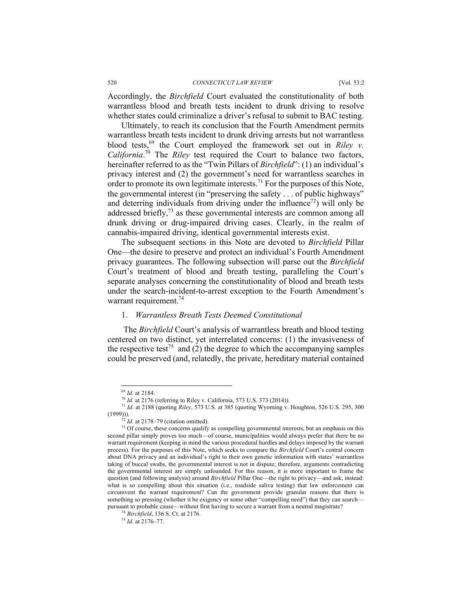Accordingly, the *Birchfield* Court evaluated the constitutionality of both warrantless blood and breath tests incident to drunk driving to resolve whether states could criminalize a driver's refusal to submit to BAC testing.

Ultimately, to reach its conclusion that the Fourth Amendment permits warrantless breath tests incident to drunk driving arrests but not warrantless blood tests,<sup>69</sup> the Court employed the framework set out in *Riley v*. *California*. <sup>70</sup> The *Riley* test required the Court to balance two factors, hereinafter referred to as the "Twin Pillars of *Birchfield*": (1) an individual's privacy interest and (2) the government's need for warrantless searches in order to promote its own legitimate interests.<sup>71</sup> For the purposes of this Note, the governmental interest (in "preserving the safety . . . of public highways" and deterring individuals from driving under the influence<sup>72</sup>) will only be addressed briefly, $73$  as these governmental interests are common among all drunk driving or drug-impaired driving cases. Clearly, in the realm of cannabis-impaired driving, identical governmental interests exist.

The subsequent sections in this Note are devoted to *Birchfield* Pillar One—the desire to preserve and protect an individual's Fourth Amendment privacy guarantees. The following subsection will parse out the *Birchfield* Court's treatment of blood and breath testing, paralleling the Court's separate analyses concerning the constitutionality of blood and breath tests under the search-incident-to-arrest exception to the Fourth Amendment's warrant requirement.<sup>74</sup>

# 1. *Warrantless Breath Tests Deemed Constitutional*

The *Birchfield* Court's analysis of warrantless breath and blood testing centered on two distinct, yet interrelated concerns: (1) the invasiveness of the respective test<sup>75</sup> and (2) the degree to which the accompanying samples could be preserved (and, relatedly, the private, hereditary material contained

<sup>&</sup>lt;sup>69</sup> *Id.* at 2184.<br><sup>70</sup> *Id.* at 2176 (referring to Riley v. California, 573 U.S. 373 (2014)).

<sup>&</sup>lt;sup>71</sup> *Id.* at 2188 (quoting Riley, 573 U.S. at 385 (quoting Wyoming v. Houghton, 526 U.S. 295, 300 (1999))).<br> $^{72}$  *Id.* at 2178–79 (citation omitted).

<sup>&</sup>lt;sup>73</sup> Of course, these concerns qualify as compelling governmental interests, but an emphasis on this second pillar simply proves too much—of course, municipalities would always prefer that there be no warrant requirement (keeping in mind the various procedural hurdles and delays imposed by the warrant process). For the purposes of this Note, which seeks to compare the *Birchfield* Court's central concern about DNA privacy and an individual's right to their own genetic information with states' warrantless taking of buccal swabs, the governmental interest is not in dispute; therefore, arguments contradicting the governmental interest are simply unfounded. For this reason, it is more important to frame the question (and following analysis) around *Birchfield* Pillar One—the right to privacy—and ask, instead: what is so compelling about this situation (i.e., roadside saliva testing) that law enforcement can circumvent the warrant requirement? Can the government provide granular reasons that there is something so pressing (whether it be exigency or some other "compelling need") that they can search pursuant to probable cause—without first having to secure a warrant from a neutral magistrate? 74 *Birchfield*, 136 S. Ct. at 2176.

<sup>75</sup> *Id.* at 2176–77.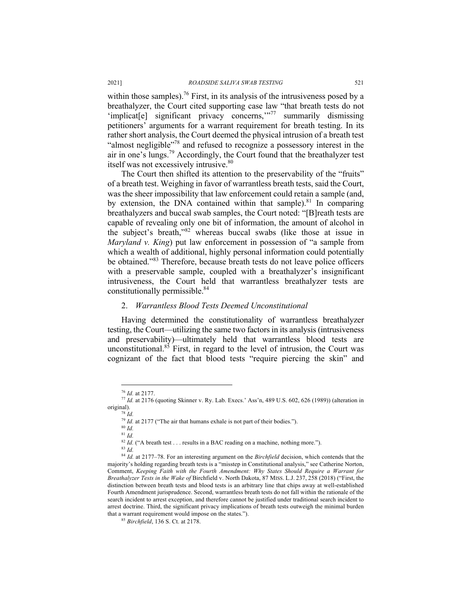within those samples).<sup>76</sup> First, in its analysis of the intrusiveness posed by a breathalyzer, the Court cited supporting case law "that breath tests do not 'implicat[e] significant privacy concerns,"<sup>77</sup> summarily dismissing petitioners' arguments for a warrant requirement for breath testing. In its rather short analysis, the Court deemed the physical intrusion of a breath test "almost negligible"<sup>78</sup> and refused to recognize a possessory interest in the air in one's lungs.79 Accordingly, the Court found that the breathalyzer test itself was not excessively intrusive.<sup>80</sup>

The Court then shifted its attention to the preservability of the "fruits" of a breath test. Weighing in favor of warrantless breath tests, said the Court, was the sheer impossibility that law enforcement could retain a sample (and, by extension, the DNA contained within that sample). $81$  In comparing breathalyzers and buccal swab samples, the Court noted: "[B]reath tests are capable of revealing only one bit of information, the amount of alcohol in the subject's breath,"<sup>82</sup> whereas buccal swabs (like those at issue in *Maryland v. King*) put law enforcement in possession of "a sample from which a wealth of additional, highly personal information could potentially be obtained."<sup>83</sup> Therefore, because breath tests do not leave police officers with a preservable sample, coupled with a breathalyzer's insignificant intrusiveness, the Court held that warrantless breathalyzer tests are constitutionally permissible.<sup>84</sup>

# 2. *Warrantless Blood Tests Deemed Unconstitutional*

Having determined the constitutionality of warrantless breathalyzer testing, the Court—utilizing the same two factors in its analysis (intrusiveness and preservability)—ultimately held that warrantless blood tests are unconstitutional. $85$  First, in regard to the level of intrusion, the Court was cognizant of the fact that blood tests "require piercing the skin" and

<sup>78</sup> *Id.*

<sup>83</sup> *Id.*

<sup>76</sup> *Id.* at 2177.

<sup>77</sup> *Id.* at 2176 (quoting Skinner v. Ry. Lab. Execs.' Ass'n, 489 U.S. 602, 626 (1989)) (alteration in original).

 $79$  *Id.* at 2177 ("The air that humans exhale is not part of their bodies.").

<sup>80</sup> *Id.*

<sup>81</sup> *Id.*

<sup>&</sup>lt;sup>82</sup> *Id.* ("A breath test . . . results in a BAC reading on a machine, nothing more.").

<sup>84</sup> *Id.* at 2177–78. For an interesting argument on the *Birchfield* decision, which contends that the majority's holding regarding breath tests is a "misstep in Constitutional analysis," see Catherine Norton, Comment, *Keeping Faith with the Fourth Amendment: Why States Should Require a Warrant for Breathalyzer Tests in the Wake of* Birchfield v. North Dakota, 87 MISS. L.J. 237, 258 (2018) ("First, the distinction between breath tests and blood tests is an arbitrary line that chips away at well-established Fourth Amendment jurisprudence. Second, warrantless breath tests do not fall within the rationale of the search incident to arrest exception, and therefore cannot be justified under traditional search incident to arrest doctrine. Third, the significant privacy implications of breath tests outweigh the minimal burden that a warrant requirement would impose on the states."). 85 *Birchfield*, 136 S. Ct. at 2178.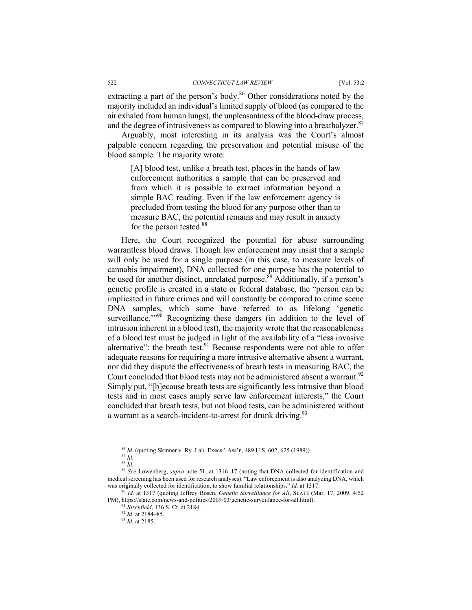extracting a part of the person's body.<sup>86</sup> Other considerations noted by the majority included an individual's limited supply of blood (as compared to the air exhaled from human lungs), the unpleasantness of the blood-draw process, and the degree of intrusiveness as compared to blowing into a breathalyzer.<sup>87</sup>

Arguably, most interesting in its analysis was the Court's almost palpable concern regarding the preservation and potential misuse of the blood sample. The majority wrote:

[A] blood test, unlike a breath test, places in the hands of law enforcement authorities a sample that can be preserved and from which it is possible to extract information beyond a simple BAC reading. Even if the law enforcement agency is precluded from testing the blood for any purpose other than to measure BAC, the potential remains and may result in anxiety for the person tested.<sup>88</sup>

Here, the Court recognized the potential for abuse surrounding warrantless blood draws. Though law enforcement may insist that a sample will only be used for a single purpose (in this case, to measure levels of cannabis impairment), DNA collected for one purpose has the potential to be used for another distinct, unrelated purpose.<sup>89</sup> Additionally, if a person's genetic profile is created in a state or federal database, the "person can be implicated in future crimes and will constantly be compared to crime scene DNA samples, which some have referred to as lifelong 'genetic surveillance."<sup>90</sup> Recognizing these dangers (in addition to the level of intrusion inherent in a blood test), the majority wrote that the reasonableness of a blood test must be judged in light of the availability of a "less invasive alternative": the breath test. $91$  Because respondents were not able to offer adequate reasons for requiring a more intrusive alternative absent a warrant, nor did they dispute the effectiveness of breath tests in measuring BAC, the Court concluded that blood tests may not be administered absent a warrant.<sup>92</sup> Simply put, "[b]ecause breath tests are significantly less intrusive than blood tests and in most cases amply serve law enforcement interests," the Court concluded that breath tests, but not blood tests, can be administered without a warrant as a search-incident-to-arrest for drunk driving.<sup>93</sup>

<sup>86</sup> *Id.* (quoting Skinner v. Ry. Lab. Execs.' Ass'n, 489 U.S. 602, 625 (1989)).

<sup>87</sup> *Id.*

<sup>88</sup> *Id.*

<sup>89</sup> *See* Lowenberg, *supra* note 51, at 1316–17 (noting that DNA collected for identification and medical screening has been used for research analyses). "Law enforcement is also analyzing DNA, which was originally collected for identification, to show familial relationships." *Id.* at 1317.

<sup>90</sup> *Id.* at 1317 (quoting Jeffrey Rosen, *Genetic Surveillance for All*, SLATE (Mar. 17, 2009, 4:52 PM), https://slate.com/news-and-politics/2009/03/genetic-surveillance-for-all.html). 91 *Birchfield*, 136 S. Ct. at 2184. 92 *Id.* at 2184–85.

<sup>93</sup> *Id.* at 2185.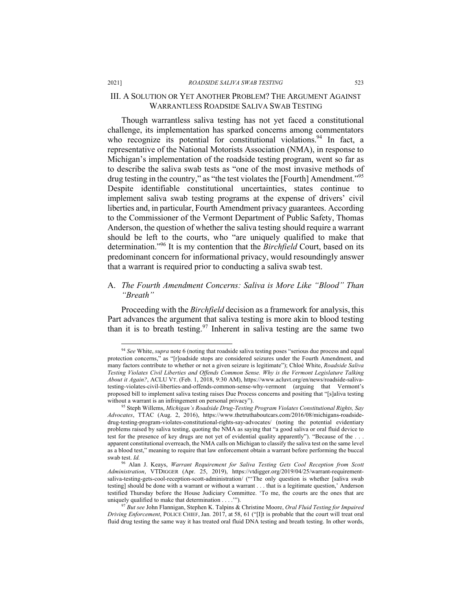#### 2021] *ROADSIDE SALIVA SWAB TESTING* 523

# III. A SOLUTION OR YET ANOTHER PROBLEM? THE ARGUMENT AGAINST WARRANTLESS ROADSIDE SALIVA SWAB TESTING

Though warrantless saliva testing has not yet faced a constitutional challenge, its implementation has sparked concerns among commentators who recognize its potential for constitutional violations.<sup>94</sup> In fact, a representative of the National Motorists Association (NMA), in response to Michigan's implementation of the roadside testing program, went so far as to describe the saliva swab tests as "one of the most invasive methods of drug testing in the country," as "the test violates the [Fourth] Amendment."<sup>95</sup> Despite identifiable constitutional uncertainties, states continue to implement saliva swab testing programs at the expense of drivers' civil liberties and, in particular, Fourth Amendment privacy guarantees. According to the Commissioner of the Vermont Department of Public Safety, Thomas Anderson, the question of whether the saliva testing should require a warrant should be left to the courts, who "are uniquely qualified to make that determination."96 It is my contention that the *Birchfield* Court, based on its predominant concern for informational privacy, would resoundingly answer that a warrant is required prior to conducting a saliva swab test.

# A. *The Fourth Amendment Concerns: Saliva is More Like "Blood" Than "Breath"*

Proceeding with the *Birchfield* decision as a framework for analysis, this Part advances the argument that saliva testing is more akin to blood testing than it is to breath testing.<sup>97</sup> Inherent in saliva testing are the same two

<sup>94</sup> *See* White, *supra* note 6 (noting that roadside saliva testing poses "serious due process and equal protection concerns," as "[r]oadside stops are considered seizures under the Fourth Amendment, and many factors contribute to whether or not a given seizure is legitimate"); Chloé White, *Roadside Saliva Testing Violates Civil Liberties and Offends Common Sense. Why is the Vermont Legislature Talking About it Again?*, ACLU VT. (Feb. 1, 2018, 9:30 AM), https://www.acluvt.org/en/news/roadside-salivatesting-violates-civil-liberties-and-offends-common-sense-why-vermont (arguing that Vermont's proposed bill to implement saliva testing raises Due Process concerns and positing that "[s]aliva testing without a warrant is an infringement on personal privacy").

<sup>95</sup> Steph Willems, *Michigan's Roadside Drug-Testing Program Violates Constitutional Rights, Say Advocates*, TTAC (Aug. 2, 2016), https://www.thetruthaboutcars.com/2016/08/michigans-roadsidedrug-testing-program-violates-constitutional-rights-say-advocates/ (noting the potential evidentiary problems raised by saliva testing, quoting the NMA as saying that "a good saliva or oral fluid device to test for the presence of key drugs are not yet of evidential quality apparently"). "Because of the . . . apparent constitutional overreach, the NMA calls on Michigan to classify the saliva test on the same level as a blood test," meaning to require that law enforcement obtain a warrant before performing the buccal swab test. *Id.*

<sup>96</sup> Alan J. Keays, *Warrant Requirement for Saliva Testing Gets Cool Reception from Scott Administration*, VTDIGGER (Apr. 25, 2019), https://vtdigger.org/2019/04/25/warrant-requirementsaliva-testing-gets-cool-reception-scott-administration/ ("'The only question is whether [saliva swab testing] should be done with a warrant or without a warrant . . . that is a legitimate question,' Anderson testified Thursday before the House Judiciary Committee. 'To me, the courts are the ones that are uniquely qualified to make that determination . . . .'"). 97 *But see* John Flannigan, Stephen K. Talpins & Christine Moore, *Oral Fluid Testing for Impaired* 

*Driving Enforcement*, POLICE CHIEF, Jan. 2017, at 58, 61 ("[I]t is probable that the court will treat oral fluid drug testing the same way it has treated oral fluid DNA testing and breath testing. In other words,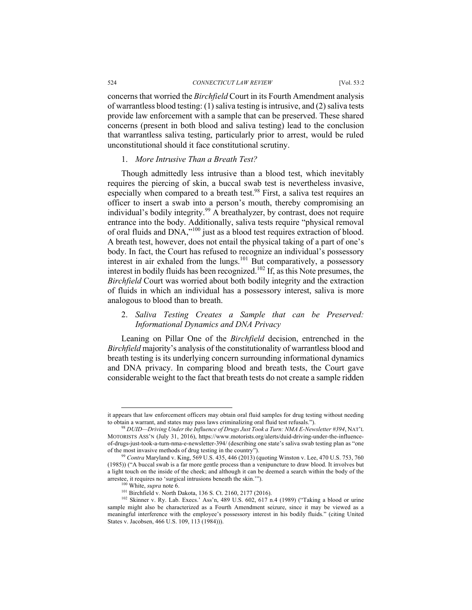concerns that worried the *Birchfield* Court in its Fourth Amendment analysis of warrantless blood testing: (1) saliva testing is intrusive, and (2) saliva tests provide law enforcement with a sample that can be preserved. These shared concerns (present in both blood and saliva testing) lead to the conclusion that warrantless saliva testing, particularly prior to arrest, would be ruled unconstitutional should it face constitutional scrutiny.

# 1. *More Intrusive Than a Breath Test?*

Though admittedly less intrusive than a blood test, which inevitably requires the piercing of skin, a buccal swab test is nevertheless invasive, especially when compared to a breath test.<sup>98</sup> First, a saliva test requires an officer to insert a swab into a person's mouth, thereby compromising an individual's bodily integrity.<sup>99</sup> A breathalyzer, by contrast, does not require entrance into the body. Additionally, saliva tests require "physical removal of oral fluids and DNA,"100 just as a blood test requires extraction of blood. A breath test, however, does not entail the physical taking of a part of one's body. In fact, the Court has refused to recognize an individual's possessory interest in air exhaled from the lungs.<sup>101</sup> But comparatively, a possessory interest in bodily fluids has been recognized.<sup>102</sup> If, as this Note presumes, the *Birchfield* Court was worried about both bodily integrity and the extraction of fluids in which an individual has a possessory interest, saliva is more analogous to blood than to breath.

# 2. *Saliva Testing Creates a Sample that can be Preserved: Informational Dynamics and DNA Privacy*

Leaning on Pillar One of the *Birchfield* decision, entrenched in the *Birchfield* majority's analysis of the constitutionality of warrantless blood and breath testing is its underlying concern surrounding informational dynamics and DNA privacy. In comparing blood and breath tests, the Court gave considerable weight to the fact that breath tests do not create a sample ridden

it appears that law enforcement officers may obtain oral fluid samples for drug testing without needing to obtain a warrant, and states may pass laws criminalizing oral fluid test refusals.").

<sup>98</sup> *DUID—Driving Under the Influence of Drugs Just Took a Turn: NMA E-Newsletter #394*, NAT'L MOTORISTS ASS'N (July 31, 2016), https://www.motorists.org/alerts/duid-driving-under-the-influenceof-drugs-just-took-a-turn-nma-e-newsletter-394/ (describing one state's saliva swab testing plan as "one of the most invasive methods of drug testing in the country").

<sup>99</sup> *Contra* Maryland v. King, 569 U.S. 435, 446 (2013) (quoting Winston v. Lee, 470 U.S. 753, 760 (1985)) ("A buccal swab is a far more gentle process than a venipuncture to draw blood. It involves but a light touch on the inside of the cheek; and although it can be deemed a search within the body of the arrestee, it requires no 'surgical intrusions beneath the skin.'").

<sup>100</sup> White, *supra* note 6.

<sup>&</sup>lt;sup>101</sup> Birchfield v. North Dakota, 136 S. Ct. 2160, 2177 (2016).

<sup>102</sup> Skinner v. Ry. Lab. Execs.' Ass'n, 489 U.S. 602, 617 n.4 (1989) ("Taking a blood or urine sample might also be characterized as a Fourth Amendment seizure, since it may be viewed as a meaningful interference with the employee's possessory interest in his bodily fluids." (citing United States v. Jacobsen, 466 U.S. 109, 113 (1984))).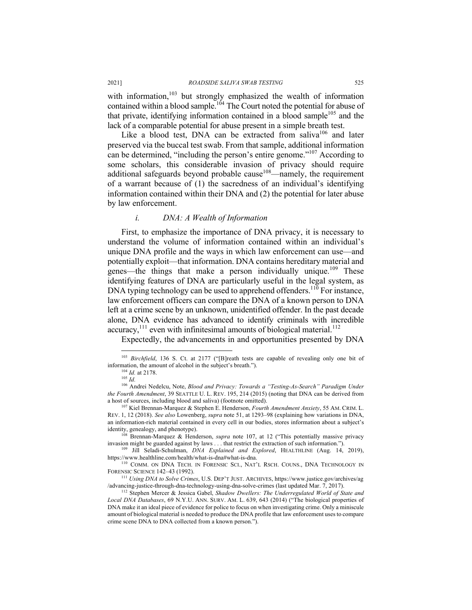#### 2021] *ROADSIDE SALIVA SWAB TESTING* 525

with information,<sup>103</sup> but strongly emphasized the wealth of information contained within a blood sample.<sup>104</sup> The Court noted the potential for abuse of that private, identifying information contained in a blood sample<sup>105</sup> and the lack of a comparable potential for abuse present in a simple breath test.

Like a blood test, DNA can be extracted from saliva $106$  and later preserved via the buccal test swab. From that sample, additional information can be determined, "including the person's entire genome."107 According to some scholars, this considerable invasion of privacy should require additional safeguards beyond probable cause<sup>108</sup>—namely, the requirement of a warrant because of (1) the sacredness of an individual's identifying information contained within their DNA and (2) the potential for later abuse by law enforcement.

# *i. DNA: A Wealth of Information*

First, to emphasize the importance of DNA privacy, it is necessary to understand the volume of information contained within an individual's unique DNA profile and the ways in which law enforcement can use—and potentially exploit—that information. DNA contains hereditary material and genes—the things that make a person individually unique.<sup>109</sup> These identifying features of DNA are particularly useful in the legal system, as DNA typing technology can be used to apprehend offenders.<sup>110</sup> For instance, law enforcement officers can compare the DNA of a known person to DNA left at a crime scene by an unknown, unidentified offender. In the past decade alone, DNA evidence has advanced to identify criminals with incredible accuracy, $^{111}$  even with infinitesimal amounts of biological material.<sup>112</sup>

Expectedly, the advancements in and opportunities presented by DNA

<sup>&</sup>lt;sup>103</sup> *Birchfield*, 136 S. Ct. at 2177 ("[B]reath tests are capable of revealing only one bit of information, the amount of alcohol in the subject's breath.").

<sup>104</sup> *Id.* at 2178. <sup>105</sup> *Id.*

<sup>106</sup> Andrei Nedelcu, Note, *Blood and Privacy: Towards a "Testing-As-Search" Paradigm Under the Fourth Amendment*, 39 SEATTLE U. L. REV. 195, 214 (2015) (noting that DNA can be derived from

a host of sources, including blood and saliva) (footnote omitted). 107 Kiel Brennan-Marquez & Stephen E. Henderson, *Fourth Amendment Anxiety*, 55 AM. CRIM. L. REV. 1, 12 (2018). *See also* Lowenberg, *supra* note 51, at 1293–98 (explaining how variations in DNA, an information-rich material contained in every cell in our bodies, stores information about a subject's identity, genealogy, and phenotype).

<sup>108</sup> Brennan-Marquez & Henderson, *supra* note 107, at 12 ("This potentially massive privacy invasion might be guarded against by laws . . . that restrict the extraction of such information.").

<sup>109</sup> Jill Seladi-Schulman, *DNA Explained and Explored*, HEALTHLINE (Aug. 14, 2019),

<sup>110</sup> COMM. ON DNA TECH. IN FORENSIC SCI., NAT'L RSCH. COUNS., DNA TECHNOLOGY IN FORENSIC SCIENCE 142–43 (1992).

<sup>111</sup> *Using DNA to Solve Crimes*, U.S. DEP'T JUST. ARCHIVES, https://www.justice.gov/archives/ag /advancing-justice-through-dna-technology-using-dna-solve-crimes (last updated Mar. 7, 2017). 112 Stephen Mercer & Jessica Gabel, *Shadow Dwellers: The Underregulated World of State and* 

*Local DNA Databases*, 69 N.Y.U. ANN. SURV. AM. L. 639, 643 (2014) ("The biological properties of DNA make it an ideal piece of evidence for police to focus on when investigating crime. Only a miniscule amount of biological material is needed to produce the DNA profile that law enforcement uses to compare crime scene DNA to DNA collected from a known person.").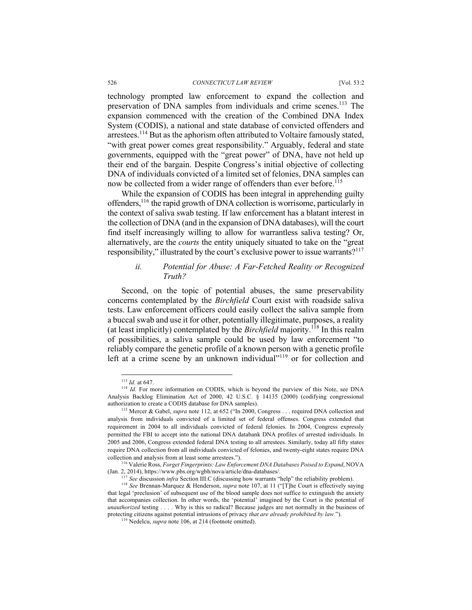technology prompted law enforcement to expand the collection and preservation of DNA samples from individuals and crime scenes.<sup>113</sup> The expansion commenced with the creation of the Combined DNA Index System (CODIS), a national and state database of convicted offenders and arrestees.<sup>114</sup> But as the aphorism often attributed to Voltaire famously stated, "with great power comes great responsibility." Arguably, federal and state governments, equipped with the "great power" of DNA, have not held up their end of the bargain. Despite Congress's initial objective of collecting DNA of individuals convicted of a limited set of felonies, DNA samples can now be collected from a wider range of offenders than ever before.<sup>115</sup>

While the expansion of CODIS has been integral in apprehending guilty offenders,<sup>116</sup> the rapid growth of DNA collection is worrisome, particularly in the context of saliva swab testing. If law enforcement has a blatant interest in the collection of DNA (and in the expansion of DNA databases), will the court find itself increasingly willing to allow for warrantless saliva testing? Or, alternatively, are the *courts* the entity uniquely situated to take on the "great responsibility," illustrated by the court's exclusive power to issue warrants?<sup>117</sup>

# *ii. Potential for Abuse: A Far-Fetched Reality or Recognized Truth?*

Second, on the topic of potential abuses, the same preservability concerns contemplated by the *Birchfield* Court exist with roadside saliva tests. Law enforcement officers could easily collect the saliva sample from a buccal swab and use it for other, potentially illegitimate, purposes, a reality (at least implicitly) contemplated by the *Birchfield* majority.<sup>118</sup> In this realm of possibilities, a saliva sample could be used by law enforcement "to reliably compare the genetic profile of a known person with a genetic profile left at a crime scene by an unknown individual" $119$  or for collection and

<sup>113</sup> *Id.* at 647.

<sup>&</sup>lt;sup>114</sup> *Id.* For more information on CODIS, which is beyond the purview of this Note, see DNA Analysis Backlog Elimination Act of 2000, 42 U.S.C. § 14135 (2000) (codifying congressional authorization to create a CODIS database for DNA samples).

<sup>115</sup> Mercer & Gabel, *supra* note 112, at 652 ("In 2000, Congress . . . required DNA collection and analysis from individuals convicted of a limited set of federal offenses. Congress extended that requirement in 2004 to all individuals convicted of federal felonies. In 2004, Congress expressly permitted the FBI to accept into the national DNA databank DNA profiles of arrested individuals. In 2005 and 2006, Congress extended federal DNA testing to all arrestees. Similarly, today all fifty states require DNA collection from all individuals convicted of felonies, and twenty-eight states require DNA collection and analysis from at least some arrestees.").

<sup>116</sup> Valerie Ross, *Forget Fingerprints: Law Enforcement DNA Databases Poised to Expand*, NOVA (Jan. 2, 2014), https://www.pbs.org/wgbh/nova/article/dna-databases/.

<sup>&</sup>lt;sup>117</sup> See discussion *infra* Section III.C (discussing how warrants "help" the reliability problem).

<sup>118</sup> *See* Brennan-Marquez & Henderson, *supra* note 107, at 11 ("[T]he Court is effectively saying that legal 'preclusion' of subsequent use of the blood sample does not suffice to extinguish the anxiety that accompanies collection. In other words, the 'potential' imagined by the Court is the potential of *unauthorized* testing . . . . Why is this so radical? Because judges are not normally in the business of protecting citizens against potential intrusions of privacy *that are already prohibited by law.*").

<sup>119</sup> Nedelcu, *supra* note 106, at 214 (footnote omitted).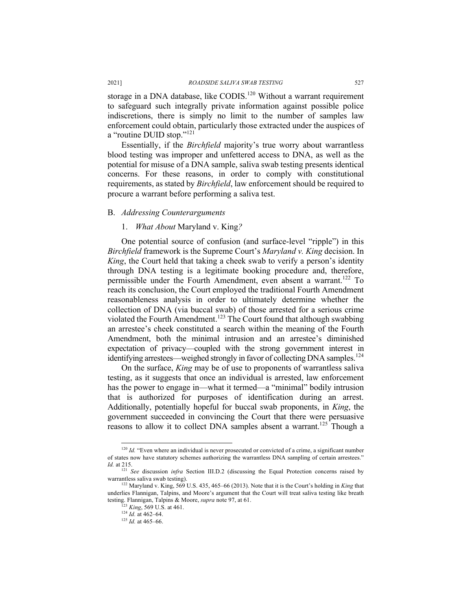storage in a DNA database, like CODIS.<sup>120</sup> Without a warrant requirement to safeguard such integrally private information against possible police indiscretions, there is simply no limit to the number of samples law enforcement could obtain, particularly those extracted under the auspices of a "routine DUID stop."<sup>121</sup>

Essentially, if the *Birchfield* majority's true worry about warrantless blood testing was improper and unfettered access to DNA, as well as the potential for misuse of a DNA sample, saliva swab testing presents identical concerns. For these reasons, in order to comply with constitutional requirements, as stated by *Birchfield*, law enforcement should be required to procure a warrant before performing a saliva test.

#### B. *Addressing Counterarguments*

#### 1. *What About* Maryland v. King*?*

One potential source of confusion (and surface-level "ripple") in this *Birchfield* framework is the Supreme Court's *Maryland v. King* decision. In *King*, the Court held that taking a cheek swab to verify a person's identity through DNA testing is a legitimate booking procedure and, therefore, permissible under the Fourth Amendment, even absent a warrant.<sup>122</sup> To reach its conclusion, the Court employed the traditional Fourth Amendment reasonableness analysis in order to ultimately determine whether the collection of DNA (via buccal swab) of those arrested for a serious crime violated the Fourth Amendment.<sup>123</sup> The Court found that although swabbing an arrestee's cheek constituted a search within the meaning of the Fourth Amendment, both the minimal intrusion and an arrestee's diminished expectation of privacy—coupled with the strong government interest in identifying arrestees—weighed strongly in favor of collecting DNA samples.<sup>124</sup>

On the surface, *King* may be of use to proponents of warrantless saliva testing, as it suggests that once an individual is arrested, law enforcement has the power to engage in—what it termed—a "minimal" bodily intrusion that is authorized for purposes of identification during an arrest. Additionally, potentially hopeful for buccal swab proponents, in *King*, the government succeeded in convincing the Court that there were persuasive reasons to allow it to collect DNA samples absent a warrant.<sup>125</sup> Though a

<sup>&</sup>lt;sup>120</sup> *Id.* "Even where an individual is never prosecuted or convicted of a crime, a significant number of states now have statutory schemes authorizing the warrantless DNA sampling of certain arrestees."

*Id.* at 215. 121 *See* discussion *infra* Section III.D.2 (discussing the Equal Protection concerns raised by warrantless saliva swab testing). 122 Maryland v. King, 569 U.S. 435, 465–66 (2013). Note that it is the Court's holding in *King* that

underlies Flannigan, Talpins, and Moore's argument that the Court will treat saliva testing like breath testing. Flannigan, Talpins & Moore, *supra* note 97, at 61. 123 *King*, 569 U.S. at 461.

 $124$  *Id.* at 462–64.

<sup>125</sup> *Id.* at 465–66.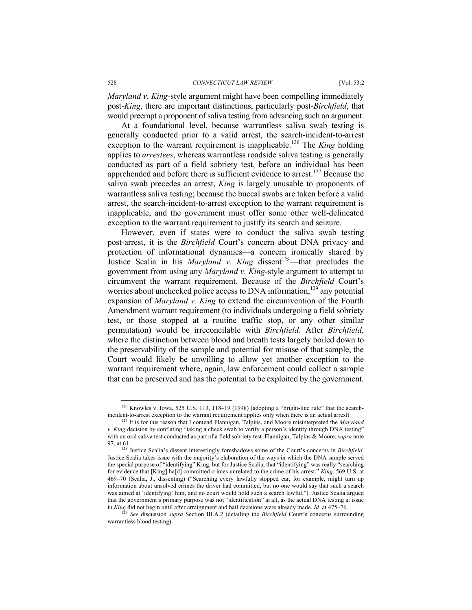*Maryland v. King*-style argument might have been compelling immediately post-*King*, there are important distinctions, particularly post-*Birchfield*, that would preempt a proponent of saliva testing from advancing such an argument.

At a foundational level, because warrantless saliva swab testing is generally conducted prior to a valid arrest, the search-incident-to-arrest exception to the warrant requirement is inapplicable.<sup>126</sup> The *King* holding applies to *arrestees*, whereas warrantless roadside saliva testing is generally conducted as part of a field sobriety test, before an individual has been apprehended and before there is sufficient evidence to arrest.<sup>127</sup> Because the saliva swab precedes an arrest, *King* is largely unusable to proponents of warrantless saliva testing; because the buccal swabs are taken before a valid arrest, the search-incident-to-arrest exception to the warrant requirement is inapplicable, and the government must offer some other well-delineated exception to the warrant requirement to justify its search and seizure.

However, even if states were to conduct the saliva swab testing post-arrest, it is the *Birchfield* Court's concern about DNA privacy and protection of informational dynamics—a concern ironically shared by Justice Scalia in his *Maryland v. King* dissent<sup>128</sup>—that precludes the government from using any *Maryland v. King*-style argument to attempt to circumvent the warrant requirement. Because of the *Birchfield* Court's worries about unchecked police access to DNA information,<sup>129</sup> any potential expansion of *Maryland v. King* to extend the circumvention of the Fourth Amendment warrant requirement (to individuals undergoing a field sobriety test, or those stopped at a routine traffic stop, or any other similar permutation) would be irreconcilable with *Birchfield*. After *Birchfield*, where the distinction between blood and breath tests largely boiled down to the preservability of the sample and potential for misuse of that sample, the Court would likely be unwilling to allow yet another exception to the warrant requirement where, again, law enforcement could collect a sample that can be preserved and has the potential to be exploited by the government.

<sup>126</sup> Knowles v. Iowa, 525 U.S. 113, 118–19 (1998) (adopting a "bright-line rule" that the searchincident-to-arrest exception to the warrant requirement applies only when there is an actual arrest).

<sup>127</sup> It is for this reason that I contend Flannigan, Talpins, and Moore misinterpreted the *Maryland v. King* decision by conflating "taking a cheek swab to verify a person's identity through DNA testing" with an oral saliva test conducted as part of a field sobriety test. Flannigan, Talpins & Moore, *supra* note

<sup>&</sup>lt;sup>128</sup> Justice Scalia's dissent interestingly foreshadows some of the Court's concerns in *Birchfield*. Justice Scalia takes issue with the majority's elaboration of the ways in which the DNA sample served the special purpose of "identifying" King, but for Justice Scalia, that "identifying" was really "searching for evidence that [King] ha[d] committed crimes unrelated to the crime of his arrest." *King*, 569 U.S. at 469–70 (Scalia, J., dissenting) ("Searching every lawfully stopped car, for example, might turn up information about unsolved crimes the driver had committed, but no one would say that such a search was aimed at 'identifying' him, and no court would hold such a search lawful."). Justice Scalia argued that the government's primary purpose was not "identification" at all, as the actual DNA testing at issue in  $King$  did not begin until after arraignment and bail decisions were already made.  $Id$  at 475–76.

<sup>&</sup>lt;sup>29</sup> See discussion *supra* Section III.A.2 (detailing the *Birchfield* Court's concerns surrounding warrantless blood testing).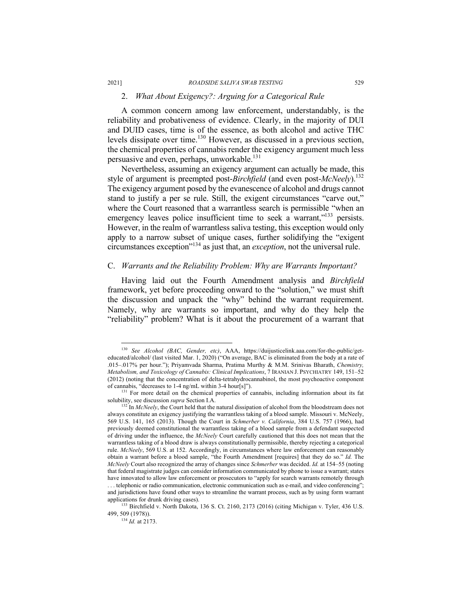# 2. *What About Exigency?: Arguing for a Categorical Rule*

A common concern among law enforcement, understandably, is the reliability and probativeness of evidence. Clearly, in the majority of DUI and DUID cases, time is of the essence, as both alcohol and active THC levels dissipate over time.<sup>130</sup> However, as discussed in a previous section, the chemical properties of cannabis render the exigency argument much less persuasive and even, perhaps, unworkable.<sup>131</sup>

Nevertheless, assuming an exigency argument can actually be made, this style of argument is preempted post-*Birchfield* (and even post-*McNeely*).132 The exigency argument posed by the evanescence of alcohol and drugs cannot stand to justify a per se rule. Still, the exigent circumstances "carve out," where the Court reasoned that a warrantless search is permissible "when an emergency leaves police insufficient time to seek a warrant,"<sup>133</sup> persists. However, in the realm of warrantless saliva testing, this exception would only apply to a narrow subset of unique cases, further solidifying the "exigent circumstances exception"134 as just that, an *exception*, not the universal rule.

# C. *Warrants and the Reliability Problem: Why are Warrants Important?*

Having laid out the Fourth Amendment analysis and *Birchfield*  framework, yet before proceeding onward to the "solution," we must shift the discussion and unpack the "why" behind the warrant requirement. Namely, why are warrants so important, and why do they help the "reliability" problem? What is it about the procurement of a warrant that

<sup>130</sup> *See Alcohol (BAC, Gender, etc)*, AAA, https://duijusticelink.aaa.com/for-the-public/geteducated/alcohol/ (last visited Mar. 1, 2020) ("On average, BAC is eliminated from the body at a rate of .015–.017% per hour."); Priyamvada Sharma, Pratima Murthy & M.M. Srinivas Bharath, *Chemistry, Metabolism, and Toxicology of Cannabis: Clinical Implications*, 7 IRANIAN J. PSYCHIATRY 149, 151–52 (2012) (noting that the concentration of delta-tetrahydrocannabinol, the most psychoactive component of cannabis, "decreases to 1-4 ng/mL within 3-4 hour[s]").<br>
<sup>131</sup> For more detail on the chemical properties of cannabis, including information about its fat

solubility, see discussion *supra* Section I.A.<br><sup>132</sup> In *McNeely*, the Court held that the natural dissipation of alcohol from the bloodstream does not always constitute an exigency justifying the warrantless taking of a blood sample. Missouri v. McNeely, 569 U.S. 141, 165 (2013). Though the Court in *Schmerber v. California*, 384 U.S. 757 (1966), had previously deemed constitutional the warrantless taking of a blood sample from a defendant suspected of driving under the influence, the *McNeely* Court carefully cautioned that this does not mean that the warrantless taking of a blood draw is always constitutionally permissible, thereby rejecting a categorical rule. *McNeely*, 569 U.S. at 152. Accordingly, in circumstances where law enforcement can reasonably obtain a warrant before a blood sample, "the Fourth Amendment [requires] that they do so." *Id.* The *McNeely* Court also recognized the array of changes since *Schmerber* was decided. *Id.* at 154–55 (noting that federal magistrate judges can consider information communicated by phone to issue a warrant; states have innovated to allow law enforcement or prosecutors to "apply for search warrants remotely through . . . telephonic or radio communication, electronic communication such as e-mail, and video conferencing"; and jurisdictions have found other ways to streamline the warrant process, such as by using form warrant applications for drunk driving cases). 136 S. Ct. 2160, 2173 (2016) (citing Michigan v. Tyler, 436 U.S. <sup>133</sup> Birchfield v. North Dakota, 136 S. Ct. 2160, 2173 (2016) (citing Michigan v. Tyler, 436 U.S.

<sup>499, 509 (1978)). 134</sup> *Id.* at 2173.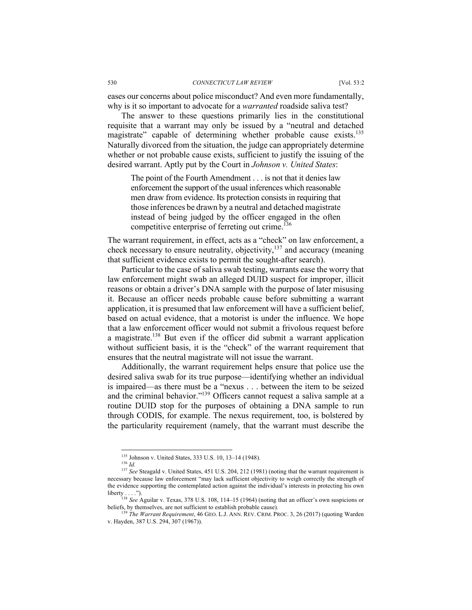eases our concerns about police misconduct? And even more fundamentally, why is it so important to advocate for a *warranted* roadside saliva test?

The answer to these questions primarily lies in the constitutional requisite that a warrant may only be issued by a "neutral and detached magistrate" capable of determining whether probable cause exists.<sup>135</sup> Naturally divorced from the situation, the judge can appropriately determine whether or not probable cause exists, sufficient to justify the issuing of the desired warrant. Aptly put by the Court in *Johnson v. United States*:

The point of the Fourth Amendment . . . is not that it denies law enforcement the support of the usual inferences which reasonable men draw from evidence. Its protection consists in requiring that those inferences be drawn by a neutral and detached magistrate instead of being judged by the officer engaged in the often competitive enterprise of ferreting out crime.<sup>136</sup>

The warrant requirement, in effect, acts as a "check" on law enforcement, a check necessary to ensure neutrality, objectivity, $137$  and accuracy (meaning that sufficient evidence exists to permit the sought-after search).

Particular to the case of saliva swab testing, warrants ease the worry that law enforcement might swab an alleged DUID suspect for improper, illicit reasons or obtain a driver's DNA sample with the purpose of later misusing it. Because an officer needs probable cause before submitting a warrant application, it is presumed that law enforcement will have a sufficient belief, based on actual evidence, that a motorist is under the influence. We hope that a law enforcement officer would not submit a frivolous request before a magistrate.138 But even if the officer did submit a warrant application without sufficient basis, it is the "check" of the warrant requirement that ensures that the neutral magistrate will not issue the warrant.

Additionally, the warrant requirement helps ensure that police use the desired saliva swab for its true purpose—identifying whether an individual is impaired—as there must be a "nexus . . . between the item to be seized and the criminal behavior."139 Officers cannot request a saliva sample at a routine DUID stop for the purposes of obtaining a DNA sample to run through CODIS, for example. The nexus requirement, too, is bolstered by the particularity requirement (namely, that the warrant must describe the

<sup>135</sup> Johnson v. United States, 333 U.S. 10, 13–14 (1948). 136 *Id.*

<sup>&</sup>lt;sup>137</sup> See Steagald v. United States, 451 U.S. 204, 212 (1981) (noting that the warrant requirement is necessary because law enforcement "may lack sufficient objectivity to weigh correctly the strength of the evidence supporting the contemplated action against the individual's interests in protecting his own  $liberty \ldots$ ").

<sup>138</sup> *See* Aguilar v. Texas, 378 U.S. 108, 114–15 (1964) (noting that an officer's own suspicions or beliefs, by themselves, are not sufficient to establish probable cause).

<sup>139</sup> *The Warrant Requirement*, 46 GEO. L.J. ANN. REV. CRIM. PROC. 3, 26 (2017) (quoting Warden v. Hayden, 387 U.S. 294, 307 (1967)).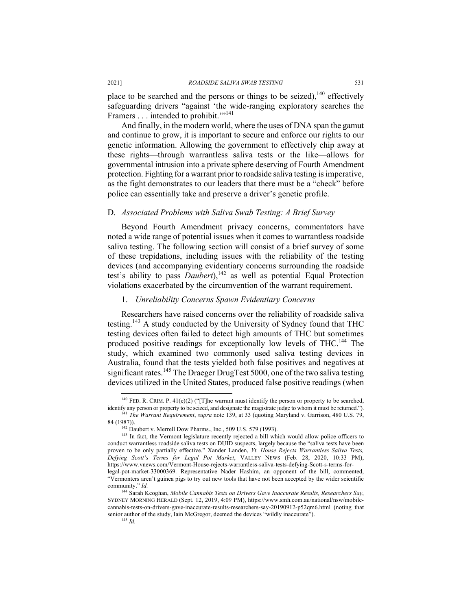place to be searched and the persons or things to be seized), $140$  effectively safeguarding drivers "against 'the wide-ranging exploratory searches the Framers . . . intended to prohibit."<sup>141</sup>

And finally, in the modern world, where the uses of DNA span the gamut and continue to grow, it is important to secure and enforce our rights to our genetic information. Allowing the government to effectively chip away at these rights—through warrantless saliva tests or the like—allows for governmental intrusion into a private sphere deserving of Fourth Amendment protection. Fighting for a warrant prior to roadside saliva testing is imperative, as the fight demonstrates to our leaders that there must be a "check" before police can essentially take and preserve a driver's genetic profile.

## D. *Associated Problems with Saliva Swab Testing: A Brief Survey*

Beyond Fourth Amendment privacy concerns, commentators have noted a wide range of potential issues when it comes to warrantless roadside saliva testing. The following section will consist of a brief survey of some of these trepidations, including issues with the reliability of the testing devices (and accompanying evidentiary concerns surrounding the roadside test's ability to pass *Daubert*),<sup>142</sup> as well as potential Equal Protection violations exacerbated by the circumvention of the warrant requirement.

### 1. *Unreliability Concerns Spawn Evidentiary Concerns*

Researchers have raised concerns over the reliability of roadside saliva testing.<sup>143</sup> A study conducted by the University of Sydney found that THC testing devices often failed to detect high amounts of THC but sometimes produced positive readings for exceptionally low levels of THC.144 The study, which examined two commonly used saliva testing devices in Australia, found that the tests yielded both false positives and negatives at significant rates.<sup>145</sup> The Draeger DrugTest 5000, one of the two saliva testing devices utilized in the United States, produced false positive readings (when

<sup>&</sup>lt;sup>140</sup> FED. R. CRIM. P. 41(e)(2) ("[T]he warrant must identify the person or property to be searched, identify any person or property to be seized, and designate the magistrate judge to whom it must be returned."). <sup>141</sup> *The Warrant Requirement, supra* note 139, at 33 (quoting Maryland v. Garrison, 480 U.S. 79, 84 (1987)).

 $\frac{142}{142}$  Daubert v. Merrell Dow Pharms., Inc., 509 U.S. 579 (1993).

<sup>&</sup>lt;sup>143</sup> In fact, the Vermont legislature recently rejected a bill which would allow police officers to conduct warrantless roadside saliva tests on DUID suspects, largely because the "saliva tests have been proven to be only partially effective." Xander Landen, *Vt. House Rejects Warrantless Saliva Tests, Defying Scott's Terms for Legal Pot Market*, VALLEY NEWS (Feb. 28, 2020, 10:33 PM), https://www.vnews.com/Vermont-House-rejects-warrantless-saliva-tests-defying-Scott-s-terms-forlegal-pot-market-33000369. Representative Nader Hashim, an opponent of the bill, commented, "Vermonters aren't guinea pigs to try out new tools that have not been accepted by the wider scientific

community." *Id.*

<sup>144</sup> Sarah Keoghan, *Mobile Cannabis Tests on Drivers Gave Inaccurate Results, Researchers Say*, SYDNEY MORNING HERALD (Sept. 12, 2019, 4:09 PM), https://www.smh.com.au/national/nsw/mobilecannabis-tests-on-drivers-gave-inaccurate-results-researchers-say-20190912-p52qm6.html (noting that senior author of the study, Iain McGregor, deemed the devices "wildly inaccurate"). <sup>145</sup> *Id.*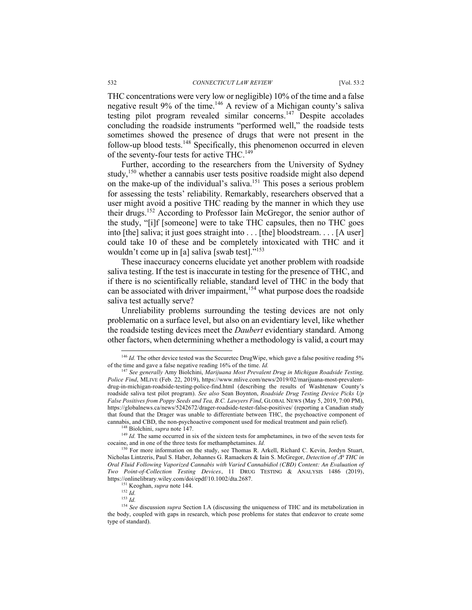THC concentrations were very low or negligible) 10% of the time and a false negative result 9% of the time.<sup>146</sup> A review of a Michigan county's saliva testing pilot program revealed similar concerns.<sup>147</sup> Despite accolades concluding the roadside instruments "performed well," the roadside tests sometimes showed the presence of drugs that were not present in the follow-up blood tests.<sup>148</sup> Specifically, this phenomenon occurred in eleven of the seventy-four tests for active THC.<sup>149</sup>

Further, according to the researchers from the University of Sydney study,<sup>150</sup> whether a cannabis user tests positive roadside might also depend on the make-up of the individual's saliva.151 This poses a serious problem for assessing the tests' reliability. Remarkably, researchers observed that a user might avoid a positive THC reading by the manner in which they use their drugs.<sup>152</sup> According to Professor Iain McGregor, the senior author of the study, "[i]f [someone] were to take THC capsules, then no THC goes into [the] saliva; it just goes straight into . . . [the] bloodstream. . . . [A user] could take 10 of these and be completely intoxicated with THC and it wouldn't come up in [a] saliva [swab test]."<sup>153</sup>

These inaccuracy concerns elucidate yet another problem with roadside saliva testing. If the test is inaccurate in testing for the presence of THC, and if there is no scientifically reliable, standard level of THC in the body that can be associated with driver impairment,<sup>154</sup> what purpose does the roadside saliva test actually serve?

Unreliability problems surrounding the testing devices are not only problematic on a surface level, but also on an evidentiary level, like whether the roadside testing devices meet the *Daubert* evidentiary standard. Among other factors, when determining whether a methodology is valid, a court may

<sup>&</sup>lt;sup>146</sup> *Id.* The other device tested was the Securetec DrugWipe, which gave a false positive reading 5% of the time and gave a false negative reading 16% of the time. *Id.*

<sup>147</sup> *See generally* Amy Biolchini, *Marijuana Most Prevalent Drug in Michigan Roadside Testing, Police Find*, MLIVE (Feb. 22, 2019), https://www.mlive.com/news/2019/02/marijuana-most-prevalentdrug-in-michigan-roadside-testing-police-find.html (describing the results of Washtenaw County's roadside saliva test pilot program). *See also* Sean Boynton, *Roadside Drug Testing Device Picks Up False Positives from Poppy Seeds and Tea, B.C. Lawyers Find*, GLOBAL NEWS (May 5, 2019, 7:00 PM), https://globalnews.ca/news/5242672/drager-roadside-tester-false-positives/ (reporting a Canadian study that found that the Drager was unable to differentiate between THC, the psychoactive component of cannabis, and CBD, the non-psychoactive component used for medical treatment and pain relief).<br><sup>148</sup> Biolchini, *supra* note 147.<br><sup>149</sup> Id. The same occurred in six of the sixteen tests for amphetamines, in two of the sev

cocaine, and in one of the three tests for methamphetamines. *Id.*

<sup>&</sup>lt;sup>150</sup> For more information on the study, see Thomas R. Arkell, Richard C. Kevin, Jordyn Stuart, Nicholas Lintzeris, Paul S. Haber, Johannes G. Ramaekers & Iain S. McGregor, *Detection of Δ<sup>9</sup> THC in Oral Fluid Following Vaporized Cannabis with Varied Cannabidiol (CBD) Content: An Evaluation of Two Point-of-Collection Testing Devices*, 11 DRUG TESTING & ANALYSIS 1486 (2019), https://onlinelibrary.wiley.com/doi/epdf/10.1002/dta.2687.

<sup>151</sup> Keoghan, *supra* note 144.

<sup>152</sup> *Id.*

<sup>153</sup> *Id.*

<sup>154</sup> *See* discussion *supra* Section I.A (discussing the uniqueness of THC and its metabolization in the body, coupled with gaps in research, which pose problems for states that endeavor to create some type of standard).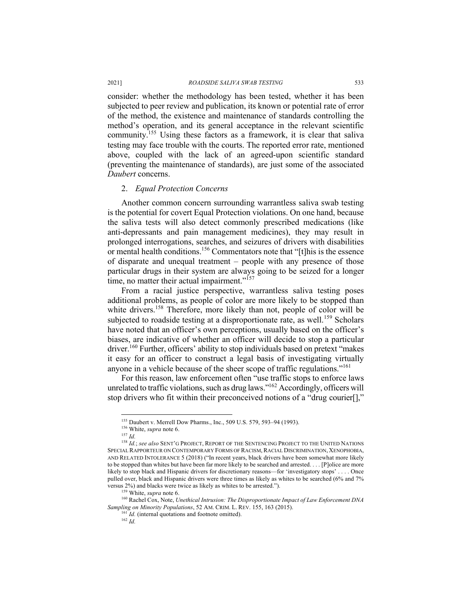consider: whether the methodology has been tested, whether it has been subjected to peer review and publication, its known or potential rate of error of the method, the existence and maintenance of standards controlling the method's operation, and its general acceptance in the relevant scientific community.155 Using these factors as a framework, it is clear that saliva testing may face trouble with the courts. The reported error rate, mentioned above, coupled with the lack of an agreed-upon scientific standard (preventing the maintenance of standards), are just some of the associated *Daubert* concerns.

#### 2. *Equal Protection Concerns*

Another common concern surrounding warrantless saliva swab testing is the potential for covert Equal Protection violations. On one hand, because the saliva tests will also detect commonly prescribed medications (like anti-depressants and pain management medicines), they may result in prolonged interrogations, searches, and seizures of drivers with disabilities or mental health conditions.<sup>156</sup> Commentators note that "[t]his is the essence of disparate and unequal treatment – people with any presence of those particular drugs in their system are always going to be seized for a longer time, no matter their actual impairment."<sup>157</sup>

From a racial justice perspective, warrantless saliva testing poses additional problems, as people of color are more likely to be stopped than white drivers.<sup>158</sup> Therefore, more likely than not, people of color will be subjected to roadside testing at a disproportionate rate, as well.<sup>159</sup> Scholars have noted that an officer's own perceptions, usually based on the officer's biases, are indicative of whether an officer will decide to stop a particular driver.<sup>160</sup> Further, officers' ability to stop individuals based on pretext "makes" it easy for an officer to construct a legal basis of investigating virtually anyone in a vehicle because of the sheer scope of traffic regulations."<sup>161</sup>

For this reason, law enforcement often "use traffic stops to enforce laws unrelated to traffic violations, such as drug laws."162 Accordingly, officers will stop drivers who fit within their preconceived notions of a "drug courier[],"

<sup>155</sup> Daubert v. Merrell Dow Pharms., Inc., 509 U.S. 579, 593–94 (1993).

<sup>156</sup> White, *supra* note 6.

<sup>157</sup> *Id.*

<sup>158</sup> *Id.*; *see also* SENT'G PROJECT, REPORT OF THE SENTENCING PROJECT TO THE UNITED NATIONS SPECIAL RAPPORTEUR ON CONTEMPORARY FORMS OF RACISM, RACIAL DISCRIMINATION, XENOPHOBIA, AND RELATED INTOLERANCE 5 (2018) ("In recent years, black drivers have been somewhat more likely to be stopped than whites but have been far more likely to be searched and arrested. . . . [P]olice are more likely to stop black and Hispanic drivers for discretionary reasons—for 'investigatory stops' . . . . Once pulled over, black and Hispanic drivers were three times as likely as whites to be searched (6% and 7% versus 2%) and blacks were twice as likely as whites to be arrested."). 159 White, *supra* note 6.

<sup>&</sup>lt;sup>160</sup> Rachel Cox, Note, *Unethical Intrusion: The Disproportionate Impact of Law Enforcement DNA Sampling on Minority Populations*, 52 AM. CRIM. L. REV. 155, 163 (2015). <sup>161</sup> *Id.* (internal quotations and footnote omitted). <sup>162</sup> *Id.*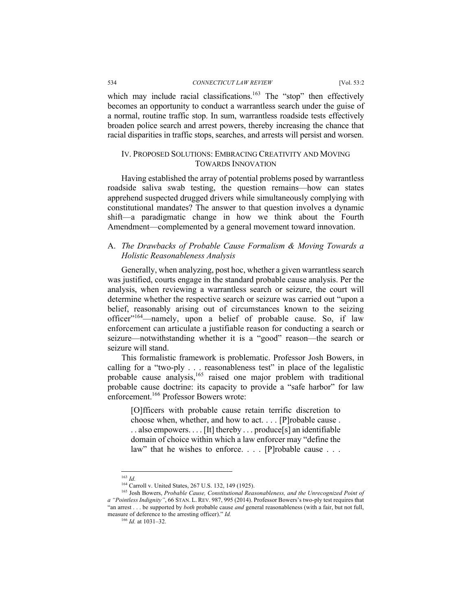which may include racial classifications.<sup>163</sup> The "stop" then effectively becomes an opportunity to conduct a warrantless search under the guise of a normal, routine traffic stop. In sum, warrantless roadside tests effectively broaden police search and arrest powers, thereby increasing the chance that racial disparities in traffic stops, searches, and arrests will persist and worsen.

# IV. PROPOSED SOLUTIONS: EMBRACING CREATIVITY AND MOVING TOWARDS INNOVATION

Having established the array of potential problems posed by warrantless roadside saliva swab testing, the question remains—how can states apprehend suspected drugged drivers while simultaneously complying with constitutional mandates? The answer to that question involves a dynamic shift—a paradigmatic change in how we think about the Fourth Amendment—complemented by a general movement toward innovation.

# A. *The Drawbacks of Probable Cause Formalism & Moving Towards a Holistic Reasonableness Analysis*

Generally, when analyzing, post hoc, whether a given warrantless search was justified, courts engage in the standard probable cause analysis. Per the analysis, when reviewing a warrantless search or seizure, the court will determine whether the respective search or seizure was carried out "upon a belief, reasonably arising out of circumstances known to the seizing officer"<sup>164</sup>—namely, upon a belief of probable cause. So, if law enforcement can articulate a justifiable reason for conducting a search or seizure—notwithstanding whether it is a "good" reason—the search or seizure will stand.

This formalistic framework is problematic. Professor Josh Bowers, in calling for a "two-ply . . . reasonableness test" in place of the legalistic probable cause analysis,<sup>165</sup> raised one major problem with traditional probable cause doctrine: its capacity to provide a "safe harbor" for law enforcement.166 Professor Bowers wrote:

[O]fficers with probable cause retain terrific discretion to choose when, whether, and how to act. . . . [P]robable cause . . . also empowers. . . . [It] thereby . . . produce[s] an identifiable domain of choice within which a law enforcer may "define the law" that he wishes to enforce. . . . [P]robable cause . . .

<sup>&</sup>lt;sup>163</sup> *Id.* Carroll v. United States, 267 U.S. 132, 149 (1925).

<sup>&</sup>lt;sup>165</sup> Josh Bowers, Probable Cause, Constitutional Reasonableness, and the Unrecognized Point of *a "Pointless Indignity"*, 66 STAN. L. REV. 987, 995 (2014). Professor Bowers's two-ply test requires that "an arrest . . . be supported by *both* probable cause *and* general reasonableness (with a fair, but not full, measure of deference to the arresting officer)." *Id.*

<sup>166</sup> *Id.* at 1031–32.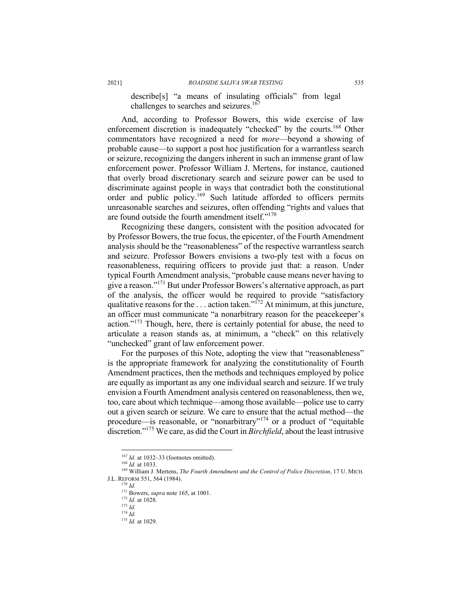describe[s] "a means of insulating officials" from legal challenges to searches and seizures.<sup>167</sup>

And, according to Professor Bowers, this wide exercise of law enforcement discretion is inadequately "checked" by the courts.<sup>168</sup> Other commentators have recognized a need for *more*—beyond a showing of probable cause—to support a post hoc justification for a warrantless search or seizure, recognizing the dangers inherent in such an immense grant of law enforcement power. Professor William J. Mertens, for instance, cautioned that overly broad discretionary search and seizure power can be used to discriminate against people in ways that contradict both the constitutional order and public policy.<sup>169</sup> Such latitude afforded to officers permits unreasonable searches and seizures, often offending "rights and values that are found outside the fourth amendment itself."<sup>170</sup>

Recognizing these dangers, consistent with the position advocated for by Professor Bowers, the true focus, the epicenter, of the Fourth Amendment analysis should be the "reasonableness" of the respective warrantless search and seizure. Professor Bowers envisions a two-ply test with a focus on reasonableness, requiring officers to provide just that: a reason. Under typical Fourth Amendment analysis, "probable cause means never having to give a reason."171 But under Professor Bowers's alternative approach, as part of the analysis, the officer would be required to provide "satisfactory qualitative reasons for the  $\dots$  action taken."<sup>172</sup> At minimum, at this juncture, an officer must communicate "a nonarbitrary reason for the peacekeeper's action." $173$  Though, here, there is certainly potential for abuse, the need to articulate a reason stands as, at minimum, a "check" on this relatively "unchecked" grant of law enforcement power.

For the purposes of this Note, adopting the view that "reasonableness" is the appropriate framework for analyzing the constitutionality of Fourth Amendment practices, then the methods and techniques employed by police are equally as important as any one individual search and seizure. If we truly envision a Fourth Amendment analysis centered on reasonableness, then we, too, care about which technique—among those available—police use to carry out a given search or seizure. We care to ensure that the actual method—the procedure—is reasonable, or "nonarbitrary"<sup>174</sup> or a product of "equitable discretion."175 We care, as did the Court in *Birchfield*, about the least intrusive

<sup>&</sup>lt;sup>167</sup> *Id.* at 1032–33 (footnotes omitted).

<sup>168</sup> *Id.* at 1033.

<sup>169</sup> William J. Mertens, *The Fourth Amendment and the Control of Police Discretion*, 17 U. MICH. J.L. REFORM 551, 564 (1984). 170 *Id.*

<sup>171</sup> Bowers, *supra* note 165, at 1001. 172 *Id.* at 1028. 173 *Id.*

 $174$  *Id.* 

<sup>175</sup> *Id.* at 1029.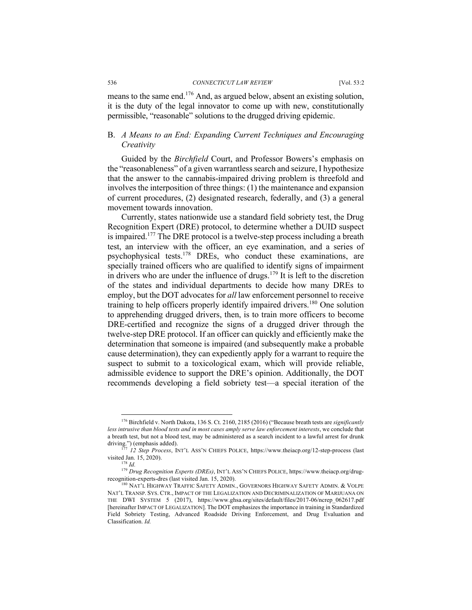means to the same end.176 And, as argued below, absent an existing solution, it is the duty of the legal innovator to come up with new, constitutionally permissible, "reasonable" solutions to the drugged driving epidemic.

# B. *A Means to an End: Expanding Current Techniques and Encouraging Creativity*

Guided by the *Birchfield* Court, and Professor Bowers's emphasis on the "reasonableness" of a given warrantless search and seizure, I hypothesize that the answer to the cannabis-impaired driving problem is threefold and involves the interposition of three things: (1) the maintenance and expansion of current procedures, (2) designated research, federally, and (3) a general movement towards innovation.

Currently, states nationwide use a standard field sobriety test, the Drug Recognition Expert (DRE) protocol, to determine whether a DUID suspect is impaired.<sup>177</sup> The DRE protocol is a twelve-step process including a breath test, an interview with the officer, an eye examination, and a series of psychophysical tests.178 DREs, who conduct these examinations, are specially trained officers who are qualified to identify signs of impairment in drivers who are under the influence of drugs.<sup>179</sup> It is left to the discretion of the states and individual departments to decide how many DREs to employ, but the DOT advocates for *all* law enforcement personnel to receive training to help officers properly identify impaired drivers.<sup>180</sup> One solution to apprehending drugged drivers, then, is to train more officers to become DRE-certified and recognize the signs of a drugged driver through the twelve-step DRE protocol. If an officer can quickly and efficiently make the determination that someone is impaired (and subsequently make a probable cause determination), they can expediently apply for a warrant to require the suspect to submit to a toxicological exam, which will provide reliable, admissible evidence to support the DRE's opinion. Additionally, the DOT recommends developing a field sobriety test—a special iteration of the

<sup>176</sup> Birchfield v. North Dakota, 136 S. Ct. 2160, 2185 (2016) ("Because breath tests are *significantly less intrusive than blood tests and in most cases amply serve law enforcement interests*, we conclude that a breath test, but not a blood test, may be administered as a search incident to a lawful arrest for drunk driving.") (emphasis added). 177 *12 Step Process*, INT'L ASS'N CHIEFS POLICE, https://www.theiacp.org/12-step-process (last

visited Jan. 15, 2020).<br><sup>178</sup> *Id.* 

<sup>179</sup> *Drug Recognition Experts (DREs)*, INT'L ASS'N CHIEFS POLICE, https://www.theiacp.org/drugrecognition-experts-dres (last visited Jan. 15, 2020).<br><sup>180</sup> NAT'L HIGHWAY TRAFFIC SAFETY ADMIN., GOVERNORS HIGHWAY SAFETY ADMIN. & VOLPE

NAT'L TRANSP. SYS. CTR., IMPACT OF THE LEGALIZATION AND DECRIMINALIZATION OF MARIJUANA ON THE DWI SYSTEM 5 (2017), https://www.ghsa.org/sites/default/files/2017-06/ncrep\_062617.pdf [hereinafter IMPACT OF LEGALIZATION]. The DOT emphasizes the importance in training in Standardized Field Sobriety Testing, Advanced Roadside Driving Enforcement, and Drug Evaluation and Classification. *Id.*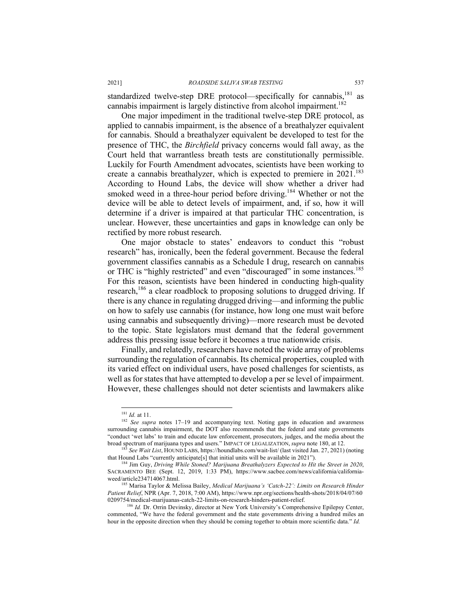standardized twelve-step DRE protocol—specifically for cannabis,<sup>181</sup> as cannabis impairment is largely distinctive from alcohol impairment.<sup>182</sup>

One major impediment in the traditional twelve-step DRE protocol, as applied to cannabis impairment, is the absence of a breathalyzer equivalent for cannabis. Should a breathalyzer equivalent be developed to test for the presence of THC, the *Birchfield* privacy concerns would fall away, as the Court held that warrantless breath tests are constitutionally permissible. Luckily for Fourth Amendment advocates, scientists have been working to create a cannabis breathalyzer, which is expected to premiere in 2021.<sup>183</sup> According to Hound Labs, the device will show whether a driver had smoked weed in a three-hour period before driving.<sup>184</sup> Whether or not the device will be able to detect levels of impairment, and, if so, how it will determine if a driver is impaired at that particular THC concentration, is unclear. However, these uncertainties and gaps in knowledge can only be rectified by more robust research.

One major obstacle to states' endeavors to conduct this "robust research" has, ironically, been the federal government. Because the federal government classifies cannabis as a Schedule I drug, research on cannabis or THC is "highly restricted" and even "discouraged" in some instances.<sup>185</sup> For this reason, scientists have been hindered in conducting high-quality research,<sup>186</sup> a clear roadblock to proposing solutions to drugged driving. If there is any chance in regulating drugged driving—and informing the public on how to safely use cannabis (for instance, how long one must wait before using cannabis and subsequently driving)—more research must be devoted to the topic. State legislators must demand that the federal government address this pressing issue before it becomes a true nationwide crisis.

Finally, and relatedly, researchers have noted the wide array of problems surrounding the regulation of cannabis. Its chemical properties, coupled with its varied effect on individual users, have posed challenges for scientists, as well as for states that have attempted to develop a per se level of impairment. However, these challenges should not deter scientists and lawmakers alike

<sup>181</sup> *Id.* at 11.

<sup>&</sup>lt;sup>182</sup> See supra notes 17-19 and accompanying text. Noting gaps in education and awareness surrounding cannabis impairment, the DOT also recommends that the federal and state governments "conduct 'wet labs' to train and educate law enforcement, prosecutors, judges, and the media about the broad spectrum of marijuana types and users." IMPACT OF LEGALIZATION, *supra* note 180, at 12.

<sup>&</sup>lt;sup>183</sup> *See Wait List*, HOUND LABS, https://houndlabs.com/wait-list/ (last visited Jan. 27, 2021) (noting that Hound Labs "currently anticipate<sup>[5]</sup> that initial units will be available in 2021").

<sup>&</sup>lt;sup>184</sup> Jim Guy, *Driving While Stoned? Marijuana Breathalyzers Expected to Hit the Street in 2020*, SACRAMENTO BEE (Sept. 12, 2019, 1:33 PM), https://www.sacbee.com/news/california/californiaweed/article234714067.html.

<sup>185</sup> Marisa Taylor & Melissa Bailey, *Medical Marijuana's 'Catch-22': Limits on Research Hinder Patient Relief*, NPR (Apr. 7, 2018, 7:00 AM), https://www.npr.org/sections/health-shots/2018/04/07/60 0209754/medical-marijuanas-catch-22-limits-on-research-hinders-patient-relief. 186 *Id.* Dr. Orrin Devinsky, director at New York University's Comprehensive Epilepsy Center,

commented, "We have the federal government and the state governments driving a hundred miles an hour in the opposite direction when they should be coming together to obtain more scientific data." *Id.*